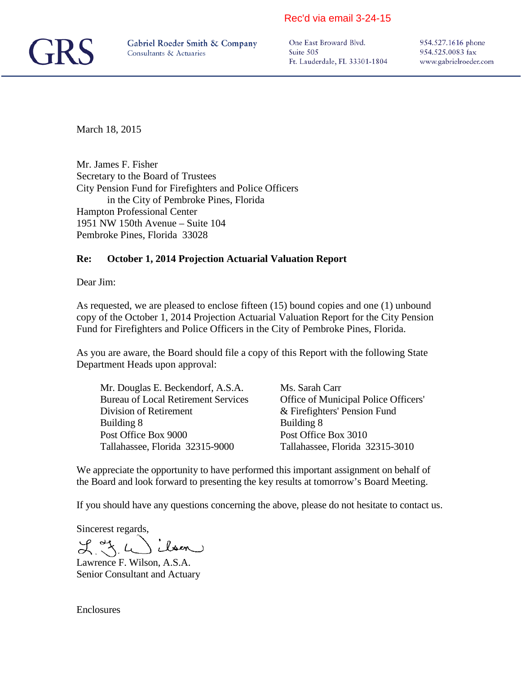#### Rec'd via email 3-24-15



One East Broward Blvd. Suite 505 Ft. Lauderdale, FL 33301-1804 954.527.1616 phone 954.525.0083 fax www.gabrielroeder.com

March 18, 2015

Mr. James F. Fisher Secretary to the Board of Trustees City Pension Fund for Firefighters and Police Officers in the City of Pembroke Pines, Florida Hampton Professional Center 1951 NW 150th Avenue – Suite 104 Pembroke Pines, Florida 33028

#### **Re: October 1, 2014 Projection Actuarial Valuation Report**

Dear Jim:

As requested, we are pleased to enclose fifteen (15) bound copies and one (1) unbound copy of the October 1, 2014 Projection Actuarial Valuation Report for the City Pension Fund for Firefighters and Police Officers in the City of Pembroke Pines, Florida.

As you are aware, the Board should file a copy of this Report with the following State Department Heads upon approval:

Mr. Douglas E. Beckendorf, A.S.A. Ms. Sarah Carr Division of Retirement  $\&$  Firefighters' Pension Fund Building 8 Building 8 Post Office Box 9000 Post Office Box 3010 Tallahassee, Florida 32315-9000 Tallahassee, Florida 32315-3010

Bureau of Local Retirement Services Office of Municipal Police Officers'

We appreciate the opportunity to have performed this important assignment on behalf of the Board and look forward to presenting the key results at tomorrow's Board Meeting.

If you should have any questions concerning the above, please do not hesitate to contact us.

Sincerest regards,

ilson  $L_{\rm X}$  of  $L$ 

Lawrence F. Wilson, A.S.A. Senior Consultant and Actuary

**Enclosures**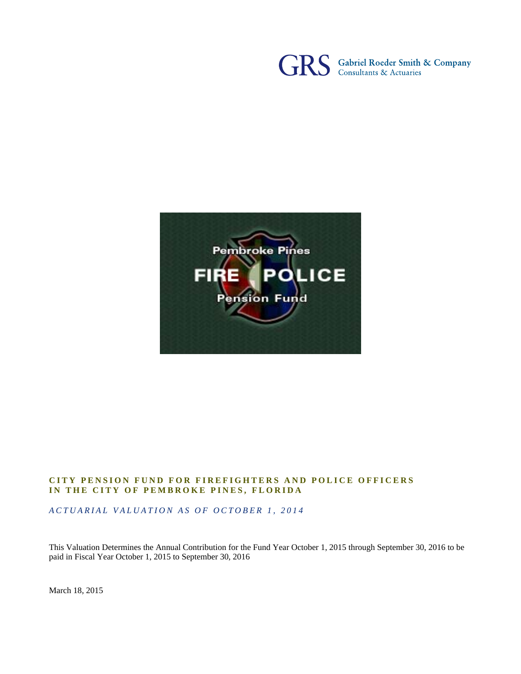



#### **CITY PENSION FUND FOR FIREFIGHTERS AND POLICE OFFICERS IN THE CITY OF PEMBROKE PINES, FLORIDA**

*ACTUARIAL VALUATION AS OF OCTOBER 1, 2014* 

This Valuation Determines the Annual Contribution for the Fund Year October 1, 2015 through September 30, 2016 to be paid in Fiscal Year October 1, 2015 to September 30, 2016

March 18, 2015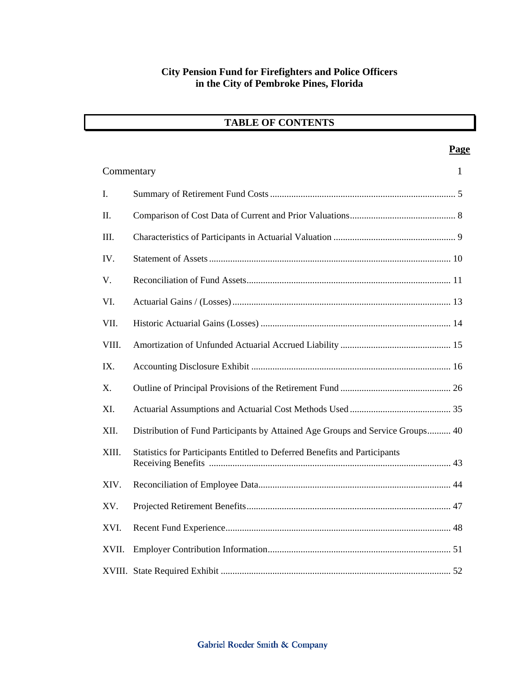|  | <b>TABLE OF CONTENTS</b> |  |
|--|--------------------------|--|
|--|--------------------------|--|

|       |                                                                                | <b>Page</b>  |
|-------|--------------------------------------------------------------------------------|--------------|
|       | Commentary                                                                     | $\mathbf{1}$ |
| I.    |                                                                                |              |
| II.   |                                                                                |              |
| III.  |                                                                                |              |
| IV.   |                                                                                |              |
| V.    |                                                                                |              |
| VI.   |                                                                                |              |
| VII.  |                                                                                |              |
| VIII. |                                                                                |              |
| IX.   |                                                                                |              |
| X.    |                                                                                |              |
| XI.   |                                                                                |              |
| XII.  | Distribution of Fund Participants by Attained Age Groups and Service Groups 40 |              |
| XIII. | Statistics for Participants Entitled to Deferred Benefits and Participants     |              |
| XIV.  |                                                                                |              |
| XV.   |                                                                                |              |
| XVI.  |                                                                                |              |
| XVII. |                                                                                |              |
|       |                                                                                |              |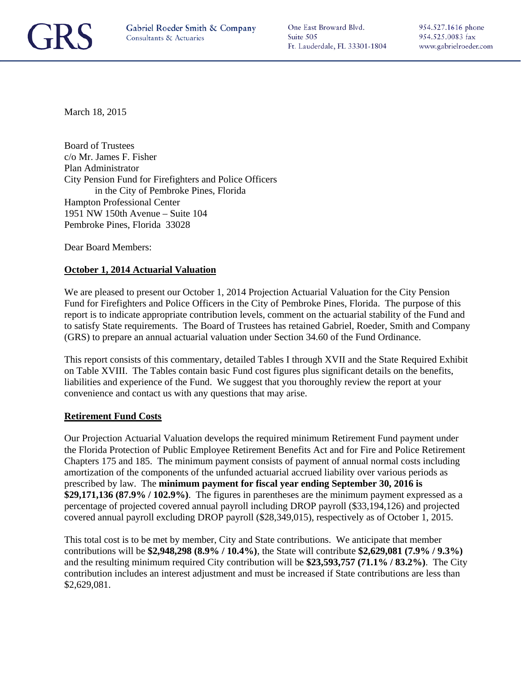

One East Broward Blvd. Suite 505 Ft. Lauderdale, FL 33301-1804

March 18, 2015

Board of Trustees c/o Mr. James F. Fisher Plan Administrator City Pension Fund for Firefighters and Police Officers in the City of Pembroke Pines, Florida Hampton Professional Center 1951 NW 150th Avenue – Suite 104 Pembroke Pines, Florida 33028

Dear Board Members:

#### **October 1, 2014 Actuarial Valuation**

We are pleased to present our October 1, 2014 Projection Actuarial Valuation for the City Pension Fund for Firefighters and Police Officers in the City of Pembroke Pines, Florida. The purpose of this report is to indicate appropriate contribution levels, comment on the actuarial stability of the Fund and to satisfy State requirements. The Board of Trustees has retained Gabriel, Roeder, Smith and Company (GRS) to prepare an annual actuarial valuation under Section 34.60 of the Fund Ordinance.

This report consists of this commentary, detailed Tables I through XVII and the State Required Exhibit on Table XVIII. The Tables contain basic Fund cost figures plus significant details on the benefits, liabilities and experience of the Fund. We suggest that you thoroughly review the report at your convenience and contact us with any questions that may arise.

#### **Retirement Fund Costs**

Our Projection Actuarial Valuation develops the required minimum Retirement Fund payment under the Florida Protection of Public Employee Retirement Benefits Act and for Fire and Police Retirement Chapters 175 and 185. The minimum payment consists of payment of annual normal costs including amortization of the components of the unfunded actuarial accrued liability over various periods as prescribed by law. The **minimum payment for fiscal year ending September 30, 2016 is \$29,171,136 (87.9% / 102.9%)**. The figures in parentheses are the minimum payment expressed as a percentage of projected covered annual payroll including DROP payroll (\$33,194,126) and projected covered annual payroll excluding DROP payroll (\$28,349,015), respectively as of October 1, 2015.

This total cost is to be met by member, City and State contributions. We anticipate that member contributions will be **\$2,948,298 (8.9% / 10.4%)**, the State will contribute **\$2,629,081 (7.9% / 9.3%)**  and the resulting minimum required City contribution will be **\$23,593,757 (71.1% / 83.2%)**. The City contribution includes an interest adjustment and must be increased if State contributions are less than \$2,629,081.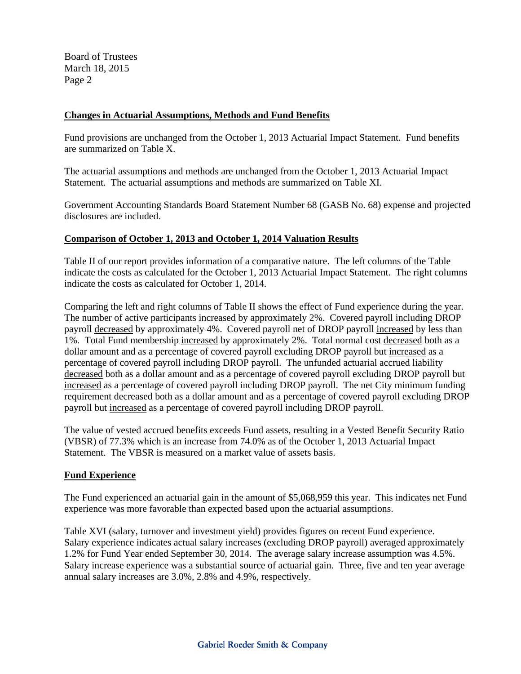Board of Trustees March 18, 2015 Page 2

#### **Changes in Actuarial Assumptions, Methods and Fund Benefits**

Fund provisions are unchanged from the October 1, 2013 Actuarial Impact Statement. Fund benefits are summarized on Table X.

The actuarial assumptions and methods are unchanged from the October 1, 2013 Actuarial Impact Statement. The actuarial assumptions and methods are summarized on Table XI.

Government Accounting Standards Board Statement Number 68 (GASB No. 68) expense and projected disclosures are included.

#### **Comparison of October 1, 2013 and October 1, 2014 Valuation Results**

Table II of our report provides information of a comparative nature. The left columns of the Table indicate the costs as calculated for the October 1, 2013 Actuarial Impact Statement. The right columns indicate the costs as calculated for October 1, 2014.

Comparing the left and right columns of Table II shows the effect of Fund experience during the year. The number of active participants increased by approximately 2%. Covered payroll including DROP payroll decreased by approximately 4%. Covered payroll net of DROP payroll increased by less than 1%. Total Fund membership increased by approximately 2%. Total normal cost decreased both as a dollar amount and as a percentage of covered payroll excluding DROP payroll but increased as a percentage of covered payroll including DROP payroll. The unfunded actuarial accrued liability decreased both as a dollar amount and as a percentage of covered payroll excluding DROP payroll but increased as a percentage of covered payroll including DROP payroll. The net City minimum funding requirement decreased both as a dollar amount and as a percentage of covered payroll excluding DROP payroll but increased as a percentage of covered payroll including DROP payroll.

The value of vested accrued benefits exceeds Fund assets, resulting in a Vested Benefit Security Ratio (VBSR) of 77.3% which is an increase from 74.0% as of the October 1, 2013 Actuarial Impact Statement. The VBSR is measured on a market value of assets basis.

#### **Fund Experience**

The Fund experienced an actuarial gain in the amount of \$5,068,959 this year. This indicates net Fund experience was more favorable than expected based upon the actuarial assumptions.

Table XVI (salary, turnover and investment yield) provides figures on recent Fund experience. Salary experience indicates actual salary increases (excluding DROP payroll) averaged approximately 1.2% for Fund Year ended September 30, 2014. The average salary increase assumption was 4.5%. Salary increase experience was a substantial source of actuarial gain. Three, five and ten year average annual salary increases are 3.0%, 2.8% and 4.9%, respectively.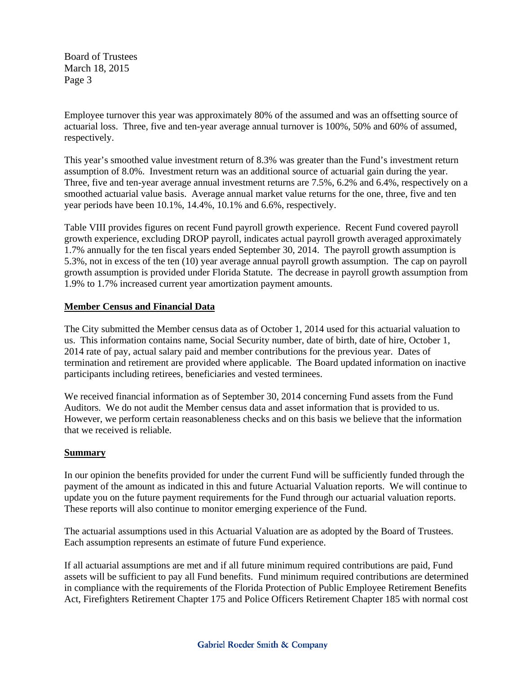Board of Trustees March 18, 2015 Page 3

Employee turnover this year was approximately 80% of the assumed and was an offsetting source of actuarial loss. Three, five and ten-year average annual turnover is 100%, 50% and 60% of assumed, respectively.

This year's smoothed value investment return of 8.3% was greater than the Fund's investment return assumption of 8.0%. Investment return was an additional source of actuarial gain during the year. Three, five and ten-year average annual investment returns are 7.5%, 6.2% and 6.4%, respectively on a smoothed actuarial value basis. Average annual market value returns for the one, three, five and ten year periods have been 10.1%, 14.4%, 10.1% and 6.6%, respectively.

Table VIII provides figures on recent Fund payroll growth experience. Recent Fund covered payroll growth experience, excluding DROP payroll, indicates actual payroll growth averaged approximately 1.7% annually for the ten fiscal years ended September 30, 2014. The payroll growth assumption is 5.3%, not in excess of the ten (10) year average annual payroll growth assumption. The cap on payroll growth assumption is provided under Florida Statute. The decrease in payroll growth assumption from 1.9% to 1.7% increased current year amortization payment amounts.

#### **Member Census and Financial Data**

The City submitted the Member census data as of October 1, 2014 used for this actuarial valuation to us. This information contains name, Social Security number, date of birth, date of hire, October 1, 2014 rate of pay, actual salary paid and member contributions for the previous year. Dates of termination and retirement are provided where applicable. The Board updated information on inactive participants including retirees, beneficiaries and vested terminees.

We received financial information as of September 30, 2014 concerning Fund assets from the Fund Auditors. We do not audit the Member census data and asset information that is provided to us. However, we perform certain reasonableness checks and on this basis we believe that the information that we received is reliable.

#### **Summary**

In our opinion the benefits provided for under the current Fund will be sufficiently funded through the payment of the amount as indicated in this and future Actuarial Valuation reports. We will continue to update you on the future payment requirements for the Fund through our actuarial valuation reports. These reports will also continue to monitor emerging experience of the Fund.

The actuarial assumptions used in this Actuarial Valuation are as adopted by the Board of Trustees. Each assumption represents an estimate of future Fund experience.

If all actuarial assumptions are met and if all future minimum required contributions are paid, Fund assets will be sufficient to pay all Fund benefits. Fund minimum required contributions are determined in compliance with the requirements of the Florida Protection of Public Employee Retirement Benefits Act, Firefighters Retirement Chapter 175 and Police Officers Retirement Chapter 185 with normal cost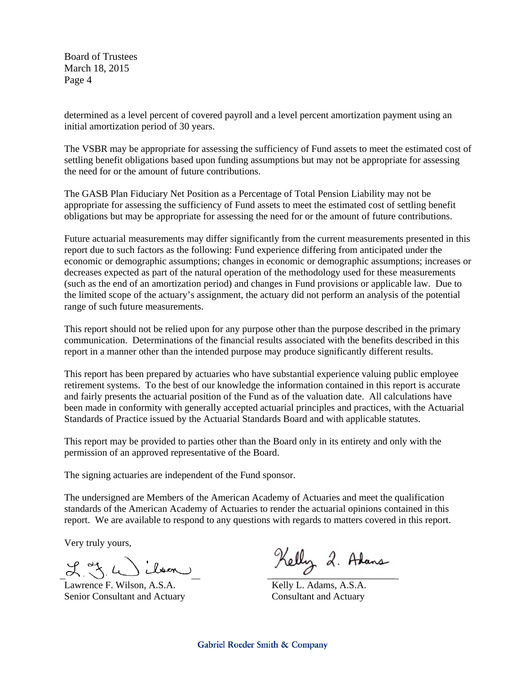Board of Trustees March 18, 2015 Page 4

determined as a level percent of covered payroll and a level percent amortization payment using an initial amortization period of 30 years.

The VSBR may be appropriate for assessing the sufficiency of Fund assets to meet the estimated cost of settling benefit obligations based upon funding assumptions but may not be appropriate for assessing the need for or the amount of future contributions.

The GASB Plan Fiduciary Net Position as a Percentage of Total Pension Liability may not be appropriate for assessing the sufficiency of Fund assets to meet the estimated cost of settling benefit obligations but may be appropriate for assessing the need for or the amount of future contributions.

Future actuarial measurements may differ significantly from the current measurements presented in this report due to such factors as the following: Fund experience differing from anticipated under the economic or demographic assumptions; changes in economic or demographic assumptions; increases or decreases expected as part of the natural operation of the methodology used for these measurements (such as the end of an amortization period) and changes in Fund provisions or applicable law. Due to the limited scope of the actuary's assignment, the actuary did not perform an analysis of the potential range of such future measurements.

This report should not be relied upon for any purpose other than the purpose described in the primary communication. Determinations of the financial results associated with the benefits described in this report in a manner other than the intended purpose may produce significantly different results.

This report has been prepared by actuaries who have substantial experience valuing public employee retirement systems. To the best of our knowledge the information contained in this report is accurate and fairly presents the actuarial position of the Fund as of the valuation date. All calculations have been made in conformity with generally accepted actuarial principles and practices, with the Actuarial Standards of Practice issued by the Actuarial Standards Board and with applicable statutes.

This report may be provided to parties other than the Board only in its entirety and only with the permission of an approved representative of the Board.

The signing actuaries are independent of the Fund sponsor.

The undersigned are Members of the American Academy of Actuaries and meet the qualification standards of the American Academy of Actuaries to render the actuarial opinions contained in this report. We are available to respond to any questions with regards to matters covered in this report.

Very truly yours,

 $L_{\rm X} = L_{\rm max}$ 

Lawrence F. Wilson, A.S.A. Senior Consultant and Actuary

Kelly 2. Adams

 Kelly L. Adams, A.S.A. Consultant and Actuary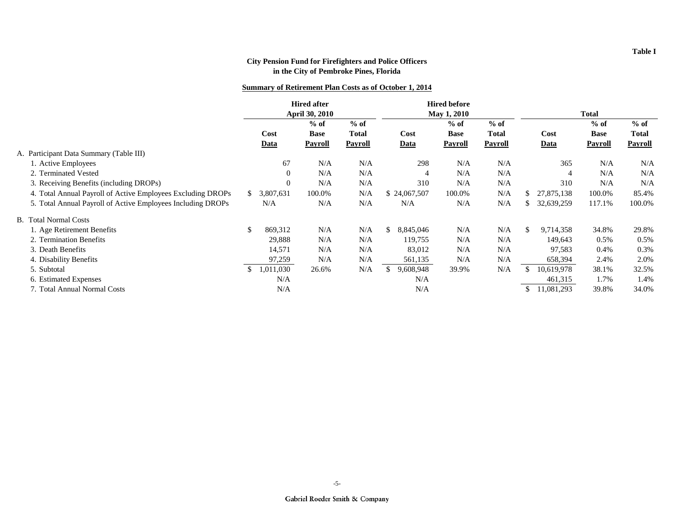#### **Summary of Retirement Plan Costs as of October 1, 2014**

|                                                             | <b>Hired after</b><br>April 30, 2010 |             | <b>Hired before</b><br>May 1, 2010 |         |                 | <b>Total</b> |              |    |                |                |                |
|-------------------------------------------------------------|--------------------------------------|-------------|------------------------------------|---------|-----------------|--------------|--------------|----|----------------|----------------|----------------|
|                                                             |                                      |             | $%$ of                             | $%$ of  |                 | $%$ of       | $%$ of       |    |                | $%$ of         | $%$ of         |
|                                                             |                                      | Cost        | <b>Base</b>                        | Total   | Cost            | <b>Base</b>  | <b>Total</b> |    | Cost           | <b>Base</b>    | Total          |
|                                                             |                                      | <u>Data</u> | <b>Payroll</b>                     | Payroll | <b>Data</b>     | Payroll      | Payroll      |    | Data           | <b>Payroll</b> | <b>Payroll</b> |
| A. Participant Data Summary (Table III)                     |                                      |             |                                    |         |                 |              |              |    |                |                |                |
| 1. Active Employees                                         |                                      | 67          | N/A                                | N/A     | 298             | N/A          | N/A          |    | 365            | N/A            | N/A            |
| 2. Terminated Vested                                        |                                      | $\Omega$    | N/A                                | N/A     | $\overline{4}$  | N/A          | N/A          |    | $\overline{4}$ | N/A            | N/A            |
| 3. Receiving Benefits (including DROPs)                     |                                      | $\Omega$    | N/A                                | N/A     | 310             | N/A          | N/A          |    | 310            | N/A            | N/A            |
| 4. Total Annual Payroll of Active Employees Excluding DROPs | S.                                   | 3,807,631   | 100.0%                             | N/A     | \$24,067,507    | 100.0%       | N/A          | S. | 27,875,138     | 100.0%         | 85.4%          |
| 5. Total Annual Payroll of Active Employees Including DROPs |                                      | N/A         | N/A                                | N/A     | N/A             | N/A          | N/A          |    | 32,639,259     | 117.1%         | 100.0%         |
| <b>B.</b> Total Normal Costs                                |                                      |             |                                    |         |                 |              |              |    |                |                |                |
| 1. Age Retirement Benefits                                  | <sup>\$</sup>                        | 869,312     | N/A                                | N/A     | \$<br>8,845,046 | N/A          | N/A          | \$ | 9,714,358      | 34.8%          | 29.8%          |
| 2. Termination Benefits                                     |                                      | 29,888      | N/A                                | N/A     | 119,755         | N/A          | N/A          |    | 149,643        | 0.5%           | $0.5\%$        |
| 3. Death Benefits                                           |                                      | 14,571      | N/A                                | N/A     | 83,012          | N/A          | N/A          |    | 97,583         | 0.4%           | 0.3%           |
| 4. Disability Benefits                                      |                                      | 97,259      | N/A                                | N/A     | 561,135         | N/A          | N/A          |    | 658,394        | 2.4%           | 2.0%           |
| 5. Subtotal                                                 |                                      | 1,011,030   | 26.6%                              | N/A     | \$<br>9,608,948 | 39.9%        | N/A          |    | 10,619,978     | 38.1%          | 32.5%          |
| 6. Estimated Expenses                                       |                                      | N/A         |                                    |         | N/A             |              |              |    | 461,315        | 1.7%           | 1.4%           |
| 7. Total Annual Normal Costs                                |                                      | N/A         |                                    |         | N/A             |              |              | S  | 11,081,293     | 39.8%          | 34.0%          |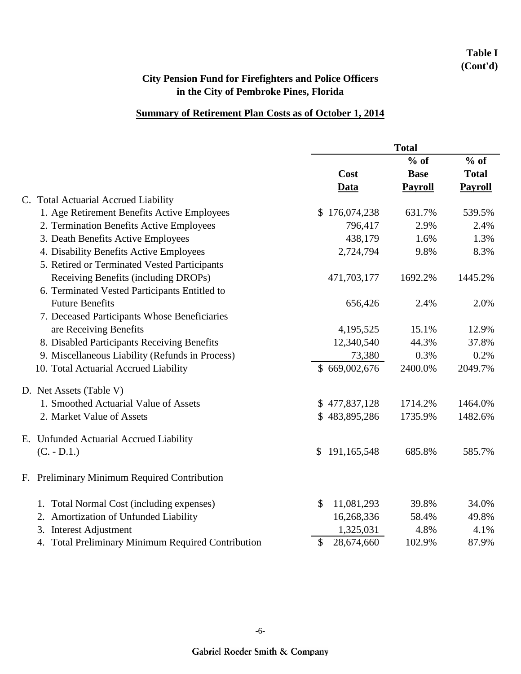## **Table I (Cont'd)**

# **City Pension Fund for Firefighters and Police Officers in the City of Pembroke Pines, Florida**

## **Summary of Retirement Plan Costs as of October 1, 2014**

|                                                    | <b>Total</b>      |                |                |  |
|----------------------------------------------------|-------------------|----------------|----------------|--|
|                                                    |                   | $%$ of         | $%$ of         |  |
|                                                    | Cost              | <b>Base</b>    | <b>Total</b>   |  |
|                                                    | <b>Data</b>       | <b>Payroll</b> | <b>Payroll</b> |  |
| C. Total Actuarial Accrued Liability               |                   |                |                |  |
| 1. Age Retirement Benefits Active Employees        | \$176,074,238     | 631.7%         | 539.5%         |  |
| 2. Termination Benefits Active Employees           | 796,417           | 2.9%           | 2.4%           |  |
| 3. Death Benefits Active Employees                 | 438,179           | 1.6%           | 1.3%           |  |
| 4. Disability Benefits Active Employees            | 2,724,794         | 9.8%           | 8.3%           |  |
| 5. Retired or Terminated Vested Participants       |                   |                |                |  |
| Receiving Benefits (including DROPs)               | 471,703,177       | 1692.2%        | 1445.2%        |  |
| 6. Terminated Vested Participants Entitled to      |                   |                |                |  |
| <b>Future Benefits</b>                             | 656,426           | 2.4%           | 2.0%           |  |
| 7. Deceased Participants Whose Beneficiaries       |                   |                |                |  |
| are Receiving Benefits                             | 4,195,525         | 15.1%          | 12.9%          |  |
| 8. Disabled Participants Receiving Benefits        | 12,340,540        | 44.3%          | 37.8%          |  |
| 9. Miscellaneous Liability (Refunds in Process)    | 73,380            | 0.3%           | 0.2%           |  |
| 10. Total Actuarial Accrued Liability              | \$669,002,676     | 2400.0%        | 2049.7%        |  |
| D. Net Assets (Table V)                            |                   |                |                |  |
| 1. Smoothed Actuarial Value of Assets              | \$477,837,128     | 1714.2%        | 1464.0%        |  |
| 2. Market Value of Assets                          | \$483,895,286     | 1735.9%        | 1482.6%        |  |
| E. Unfunded Actuarial Accrued Liability            |                   |                |                |  |
| $(C. - D.1.)$                                      | 191,165,548<br>\$ | 685.8%         | 585.7%         |  |
| F. Preliminary Minimum Required Contribution       |                   |                |                |  |
| 1. Total Normal Cost (including expenses)          | \$<br>11,081,293  | 39.8%          | 34.0%          |  |
| Amortization of Unfunded Liability<br>2.           | 16,268,336        | 58.4%          | 49.8%          |  |
| <b>Interest Adjustment</b><br>3.                   | 1,325,031         | 4.8%           | 4.1%           |  |
| 4. Total Preliminary Minimum Required Contribution | \$<br>28,674,660  | 102.9%         | 87.9%          |  |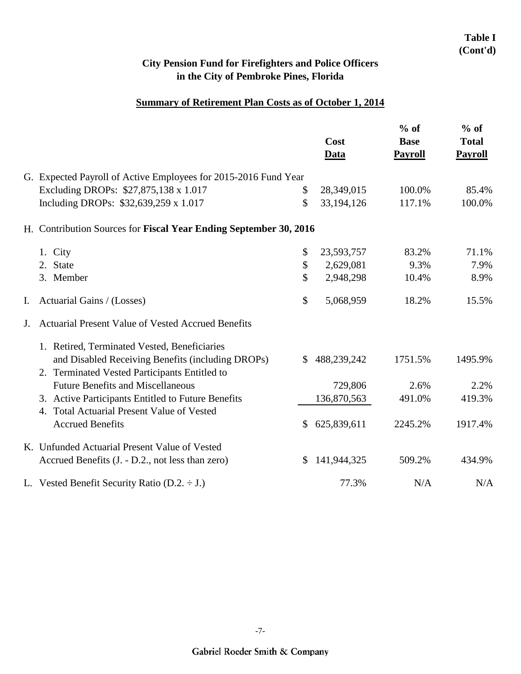## **Table I (Cont'd)**

# **City Pension Fund for Firefighters and Police Officers in the City of Pembroke Pines, Florida**

## **Summary of Retirement Plan Costs as of October 1, 2014**

|    |                                                                   |               | Cost<br><b>Data</b> | $%$ of<br><b>Base</b><br><b>Payroll</b> | $%$ of<br><b>Total</b><br><b>Payroll</b> |
|----|-------------------------------------------------------------------|---------------|---------------------|-----------------------------------------|------------------------------------------|
|    | G. Expected Payroll of Active Employees for 2015-2016 Fund Year   |               |                     |                                         |                                          |
|    | Excluding DROPs: \$27,875,138 x 1.017                             | \$            | 28,349,015          | 100.0%                                  | 85.4%                                    |
|    | Including DROPs: \$32,639,259 x 1.017                             | \$            | 33,194,126          | 117.1%                                  | 100.0%                                   |
|    | H. Contribution Sources for Fiscal Year Ending September 30, 2016 |               |                     |                                         |                                          |
|    | 1. City                                                           | \$            | 23,593,757          | 83.2%                                   | 71.1%                                    |
|    | 2. State                                                          | \$            | 2,629,081           | 9.3%                                    | 7.9%                                     |
|    | 3. Member                                                         | \$            | 2,948,298           | 10.4%                                   | 8.9%                                     |
| I. | Actuarial Gains / (Losses)                                        | \$            | 5,068,959           | 18.2%                                   | 15.5%                                    |
| J. | Actuarial Present Value of Vested Accrued Benefits                |               |                     |                                         |                                          |
|    | 1. Retired, Terminated Vested, Beneficiaries                      |               |                     |                                         |                                          |
|    | and Disabled Receiving Benefits (including DROPs)                 | $\mathbb{S}$  | 488,239,242         | 1751.5%                                 | 1495.9%                                  |
|    | 2. Terminated Vested Participants Entitled to                     |               |                     |                                         |                                          |
|    | <b>Future Benefits and Miscellaneous</b>                          |               | 729,806             | 2.6%                                    | 2.2%                                     |
|    | 3. Active Participants Entitled to Future Benefits                |               | 136,870,563         | 491.0%                                  | 419.3%                                   |
|    | 4. Total Actuarial Present Value of Vested                        |               |                     |                                         |                                          |
|    | <b>Accrued Benefits</b>                                           | <sup>\$</sup> | 625,839,611         | 2245.2%                                 | 1917.4%                                  |
|    | K. Unfunded Actuarial Present Value of Vested                     |               |                     |                                         |                                          |
|    | Accrued Benefits (J. - D.2., not less than zero)                  | \$            | 141,944,325         | 509.2%                                  | 434.9%                                   |
|    | L. Vested Benefit Security Ratio (D.2. $\div$ J.)                 |               | 77.3%               | N/A                                     | N/A                                      |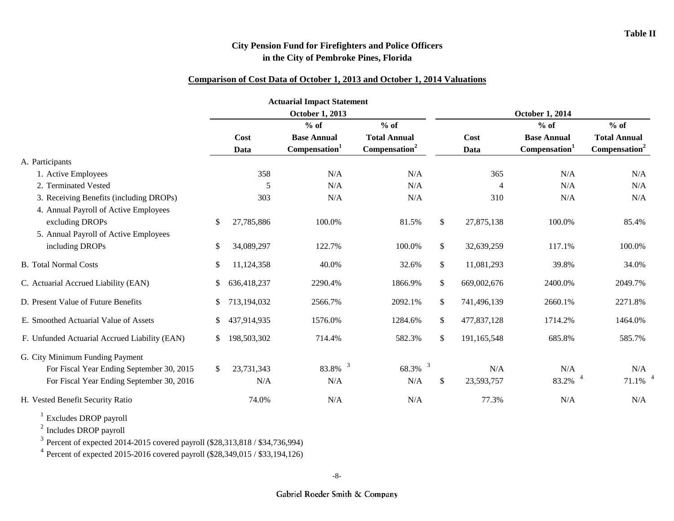#### **Comparison of Cost Data of October 1, 2013 and October 1, 2014 Valuations**

|                                               |     |             | <b>Actuarial Impact Statement</b> |                                  |               |             |                           |                           |
|-----------------------------------------------|-----|-------------|-----------------------------------|----------------------------------|---------------|-------------|---------------------------|---------------------------|
|                                               |     |             | <b>October 1, 2013</b>            |                                  |               |             | <b>October 1, 2014</b>    |                           |
|                                               |     |             | $%$ of                            | $%$ of                           |               |             | $%$ of                    | $%$ of                    |
|                                               |     | Cost        | <b>Base Annual</b>                | <b>Total Annual</b>              |               | Cost        | <b>Base Annual</b>        | <b>Total Annual</b>       |
|                                               |     | Data        | Compensation <sup>1</sup>         | Compensation <sup>2</sup>        |               | Data        | Compensation <sup>1</sup> | Compensation <sup>2</sup> |
| A. Participants                               |     |             |                                   |                                  |               |             |                           |                           |
| 1. Active Employees                           |     | 358         | N/A                               | N/A                              |               | 365         | N/A                       | N/A                       |
| 2. Terminated Vested                          |     | 5           | N/A                               | N/A                              |               | 4           | N/A                       | N/A                       |
| 3. Receiving Benefits (including DROPs)       |     | 303         | N/A                               | N/A                              |               | 310         | N/A                       | N/A                       |
| 4. Annual Payroll of Active Employees         |     |             |                                   |                                  |               |             |                           |                           |
| excluding DROPs                               | \$  | 27,785,886  | 100.0%                            | 81.5%                            | $\mathbb{S}$  | 27,875,138  | 100.0%                    | 85.4%                     |
| 5. Annual Payroll of Active Employees         |     |             |                                   |                                  |               |             |                           |                           |
| including DROPs                               | \$  | 34,089,297  | 122.7%                            | 100.0%                           | \$            | 32,639,259  | 117.1%                    | 100.0%                    |
| <b>B.</b> Total Normal Costs                  | \$  | 11,124,358  | 40.0%                             | 32.6%                            | $\mathbb{S}$  | 11,081,293  | 39.8%                     | 34.0%                     |
| C. Actuarial Accrued Liability (EAN)          | \$  | 636,418,237 | 2290.4%                           | 1866.9%                          | $\mathcal{S}$ | 669,002,676 | 2400.0%                   | 2049.7%                   |
| D. Present Value of Future Benefits           | S.  | 713,194,032 | 2566.7%                           | 2092.1%                          | \$            | 741,496,139 | 2660.1%                   | 2271.8%                   |
| E. Smoothed Actuarial Value of Assets         | \$  | 437,914,935 | 1576.0%                           | 1284.6%                          | \$            | 477,837,128 | 1714.2%                   | 1464.0%                   |
| F. Unfunded Actuarial Accrued Liability (EAN) | \$  | 198,503,302 | 714.4%                            | 582.3%                           | \$            | 191,165,548 | 685.8%                    | 585.7%                    |
| G. City Minimum Funding Payment               |     |             |                                   |                                  |               |             |                           |                           |
| For Fiscal Year Ending September 30, 2015     | \$. | 23,731,343  | 3<br>83.8%                        | $\overline{\mathbf{3}}$<br>68.3% |               | N/A         | N/A                       | N/A                       |
| For Fiscal Year Ending September 30, 2016     |     | N/A         | N/A                               | N/A                              | \$            | 23,593,757  | $\overline{4}$<br>83.2%   | $\overline{4}$<br>71.1%   |
| H. Vested Benefit Security Ratio              |     | 74.0%       | N/A                               | N/A                              |               | 77.3%       | N/A                       | N/A                       |

<sup>1</sup> Excludes DROP payroll

<sup>2</sup> Includes DROP payroll

<sup>3</sup> Percent of expected 2014-2015 covered payroll (\$28,313,818 / \$34,736,994)

<sup>4</sup> Percent of expected 2015-2016 covered payroll (\$28,349,015 / \$33,194,126)

-8-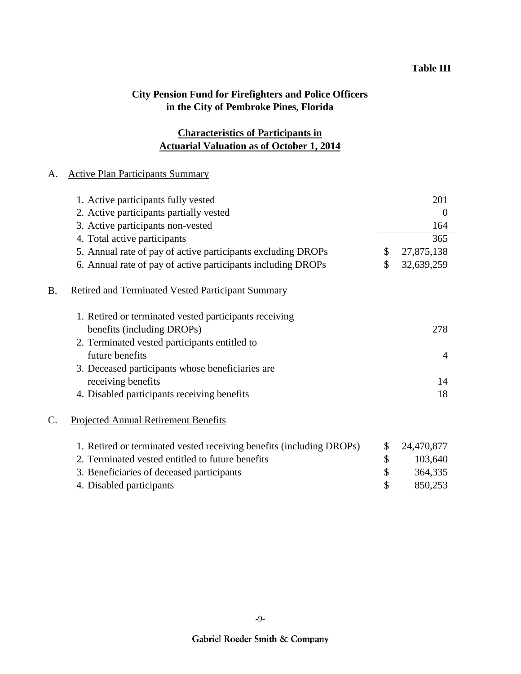## **Actuarial Valuation as of October 1, 2014 Characteristics of Participants in**

### A. Active Plan Participants Summary

|    | 1. Active participants fully vested                                  | 201              |
|----|----------------------------------------------------------------------|------------------|
|    | 2. Active participants partially vested                              | $\overline{0}$   |
|    | 3. Active participants non-vested                                    | 164              |
|    | 4. Total active participants                                         | 365              |
|    | 5. Annual rate of pay of active participants excluding DROPs         | \$<br>27,875,138 |
|    | 6. Annual rate of pay of active participants including DROPs         | \$<br>32,639,259 |
| B. | <b>Retired and Terminated Vested Participant Summary</b>             |                  |
|    | 1. Retired or terminated vested participants receiving               |                  |
|    | benefits (including DROPs)                                           | 278              |
|    | 2. Terminated vested participants entitled to                        |                  |
|    | future benefits                                                      | $\overline{4}$   |
|    | 3. Deceased participants whose beneficiaries are                     |                  |
|    | receiving benefits                                                   | 14               |
|    | 4. Disabled participants receiving benefits                          | 18               |
| C. | <b>Projected Annual Retirement Benefits</b>                          |                  |
|    | 1. Retired or terminated vested receiving benefits (including DROPs) | \$<br>24,470,877 |
|    | 2. Terminated vested entitled to future benefits                     | \$<br>103,640    |
|    | 3. Beneficiaries of deceased participants                            | \$<br>364,335    |
|    | 4. Disabled participants                                             | \$<br>850,253    |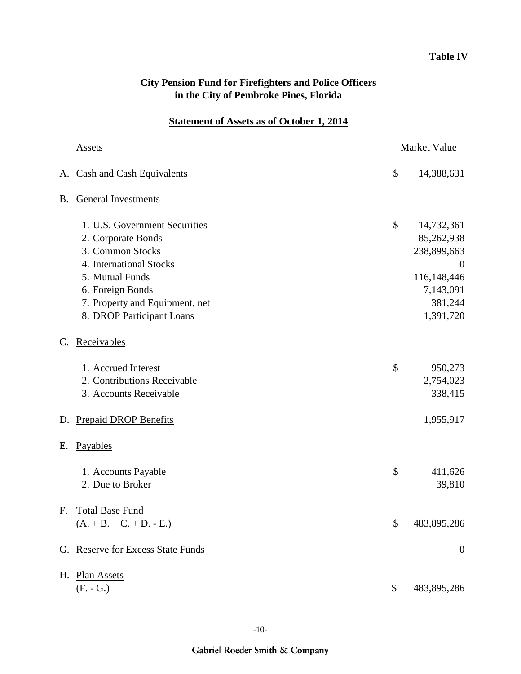## **Table IV**

| <b>City Pension Fund for Firefighters and Police Officers</b> |  |
|---------------------------------------------------------------|--|
| in the City of Pembroke Pines, Florida                        |  |

## **Statement of Assets as of October 1, 2014**

|                | Assets                                                                                                                                                                                                   | <b>Market Value</b> |                                                                                                         |  |
|----------------|----------------------------------------------------------------------------------------------------------------------------------------------------------------------------------------------------------|---------------------|---------------------------------------------------------------------------------------------------------|--|
|                | A. Cash and Cash Equivalents                                                                                                                                                                             | \$                  | 14,388,631                                                                                              |  |
| Β.             | <b>General Investments</b>                                                                                                                                                                               |                     |                                                                                                         |  |
|                | 1. U.S. Government Securities<br>2. Corporate Bonds<br>3. Common Stocks<br>4. International Stocks<br>5. Mutual Funds<br>6. Foreign Bonds<br>7. Property and Equipment, net<br>8. DROP Participant Loans | \$                  | 14,732,361<br>85,262,938<br>238,899,663<br>$\theta$<br>116,148,446<br>7,143,091<br>381,244<br>1,391,720 |  |
| $\mathbf{C}$ . | Receivables                                                                                                                                                                                              |                     |                                                                                                         |  |
|                | 1. Accrued Interest<br>2. Contributions Receivable<br>3. Accounts Receivable                                                                                                                             | \$                  | 950,273<br>2,754,023<br>338,415                                                                         |  |
| D.             | <b>Prepaid DROP Benefits</b>                                                                                                                                                                             |                     | 1,955,917                                                                                               |  |
| Е.             | Payables                                                                                                                                                                                                 |                     |                                                                                                         |  |
|                | 1. Accounts Payable<br>2. Due to Broker                                                                                                                                                                  | \$                  | 411,626<br>39,810                                                                                       |  |
| F.             | <b>Total Base Fund</b><br>$(A. + B. + C. + D. - E.)$                                                                                                                                                     | \$                  | 483,895,286                                                                                             |  |
| G.             | <b>Reserve for Excess State Funds</b>                                                                                                                                                                    |                     | $\boldsymbol{0}$                                                                                        |  |
| Н.             | <b>Plan Assets</b><br>$(F. - G.)$                                                                                                                                                                        | \$                  | 483,895,286                                                                                             |  |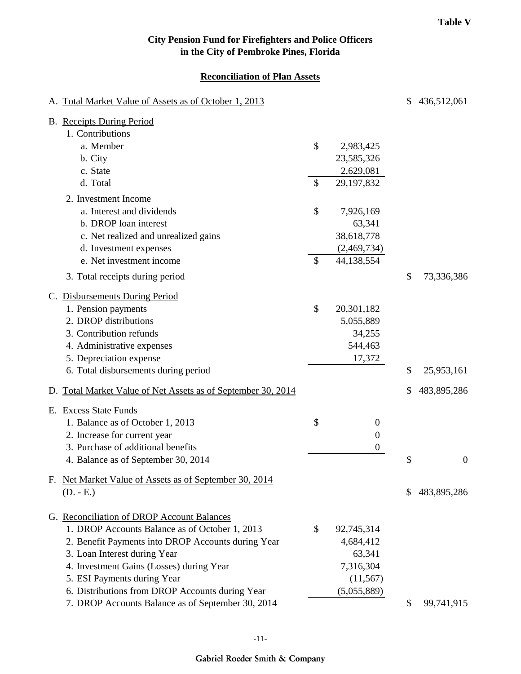#### **Reconciliation of Plan Assets**

| A. Total Market Value of Assets as of October 1, 2013        |                           |                  | \$<br>436,512,061      |
|--------------------------------------------------------------|---------------------------|------------------|------------------------|
| <b>B.</b> Receipts During Period                             |                           |                  |                        |
| 1. Contributions                                             |                           |                  |                        |
| a. Member                                                    | \$                        | 2,983,425        |                        |
| b. City                                                      |                           | 23,585,326       |                        |
| c. State                                                     |                           | 2,629,081        |                        |
| d. Total                                                     | $\mathcal{S}$             | 29,197,832       |                        |
| 2. Investment Income                                         |                           |                  |                        |
| a. Interest and dividends                                    | \$                        | 7,926,169        |                        |
| b. DROP loan interest                                        |                           | 63,341           |                        |
| c. Net realized and unrealized gains                         |                           | 38,618,778       |                        |
| d. Investment expenses                                       |                           | (2,469,734)      |                        |
| e. Net investment income                                     | $\boldsymbol{\mathsf{S}}$ | 44,138,554       |                        |
| 3. Total receipts during period                              |                           |                  | \$<br>73,336,386       |
| C. Disbursements During Period                               |                           |                  |                        |
| 1. Pension payments                                          | \$                        | 20,301,182       |                        |
| 2. DROP distributions                                        |                           | 5,055,889        |                        |
| 3. Contribution refunds                                      |                           | 34,255           |                        |
| 4. Administrative expenses                                   |                           | 544,463          |                        |
| 5. Depreciation expense                                      |                           | 17,372           |                        |
| 6. Total disbursements during period                         |                           |                  | \$<br>25,953,161       |
| D. Total Market Value of Net Assets as of September 30, 2014 |                           |                  | \$<br>483,895,286      |
| E. Excess State Funds                                        |                           |                  |                        |
| 1. Balance as of October 1, 2013                             | \$                        | $\overline{0}$   |                        |
| 2. Increase for current year                                 |                           | $\boldsymbol{0}$ |                        |
| 3. Purchase of additional benefits                           |                           | $\overline{0}$   |                        |
| 4. Balance as of September 30, 2014                          |                           |                  | \$<br>$\boldsymbol{0}$ |
| F. Net Market Value of Assets as of September 30, 2014       |                           |                  |                        |
| $(D. - E.)$                                                  |                           |                  | \$<br>483,895,286      |
| G. Reconciliation of DROP Account Balances                   |                           |                  |                        |
| 1. DROP Accounts Balance as of October 1, 2013               | \$                        | 92,745,314       |                        |
| 2. Benefit Payments into DROP Accounts during Year           |                           | 4,684,412        |                        |
| 3. Loan Interest during Year                                 |                           | 63,341           |                        |
| 4. Investment Gains (Losses) during Year                     |                           | 7,316,304        |                        |
| 5. ESI Payments during Year                                  |                           | (11, 567)        |                        |
| 6. Distributions from DROP Accounts during Year              |                           | (5,055,889)      |                        |
| 7. DROP Accounts Balance as of September 30, 2014            |                           |                  | \$<br>99,741,915       |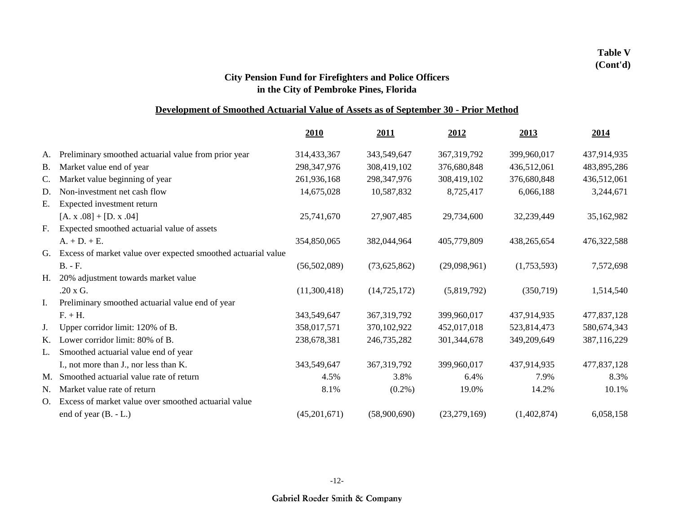### **Development of Smoothed Actuarial Value of Assets as of September 30 - Prior Method**

|             |                                                               | 2010           | 2011           | 2012           | 2013        | 2014        |
|-------------|---------------------------------------------------------------|----------------|----------------|----------------|-------------|-------------|
| А.          | Preliminary smoothed actuarial value from prior year          | 314,433,367    | 343,549,647    | 367, 319, 792  | 399,960,017 | 437,914,935 |
| <b>B.</b>   | Market value end of year                                      | 298, 347, 976  | 308,419,102    | 376,680,848    | 436,512,061 | 483,895,286 |
| $C_{\cdot}$ | Market value beginning of year                                | 261,936,168    | 298, 347, 976  | 308,419,102    | 376,680,848 | 436,512,061 |
| D.          | Non-investment net cash flow                                  | 14,675,028     | 10,587,832     | 8,725,417      | 6,066,188   | 3,244,671   |
| Е.          | Expected investment return                                    |                |                |                |             |             |
|             | $[A. x.08] + [D. x.04]$                                       | 25,741,670     | 27,907,485     | 29,734,600     | 32,239,449  | 35,162,982  |
| F.          | Expected smoothed actuarial value of assets                   |                |                |                |             |             |
|             | $A. + D. + E.$                                                | 354,850,065    | 382,044,964    | 405,779,809    | 438,265,654 | 476,322,588 |
| G.          | Excess of market value over expected smoothed actuarial value |                |                |                |             |             |
|             | $B. - F.$                                                     | (56, 502, 089) | (73,625,862)   | (29,098,961)   | (1,753,593) | 7,572,698   |
| Н.          | 20% adjustment towards market value                           |                |                |                |             |             |
|             | .20 x G.                                                      | (11,300,418)   | (14, 725, 172) | (5,819,792)    | (350, 719)  | 1,514,540   |
| I.          | Preliminary smoothed actuarial value end of year              |                |                |                |             |             |
|             | $F. + H.$                                                     | 343,549,647    | 367, 319, 792  | 399,960,017    | 437,914,935 | 477,837,128 |
| J.          | Upper corridor limit: 120% of B.                              | 358,017,571    | 370,102,922    | 452,017,018    | 523,814,473 | 580,674,343 |
| K.          | Lower corridor limit: 80% of B.                               | 238,678,381    | 246,735,282    | 301, 344, 678  | 349,209,649 | 387,116,229 |
| L.          | Smoothed actuarial value end of year                          |                |                |                |             |             |
|             | I., not more than J., nor less than K.                        | 343,549,647    | 367, 319, 792  | 399,960,017    | 437,914,935 | 477,837,128 |
|             | M. Smoothed actuarial value rate of return                    | 4.5%           | 3.8%           | 6.4%           | 7.9%        | 8.3%        |
| N.          | Market value rate of return                                   | 8.1%           | $(0.2\%)$      | 19.0%          | 14.2%       | 10.1%       |
| O.          | Excess of market value over smoothed actuarial value          |                |                |                |             |             |
|             | end of year $(B. - L.)$                                       | (45,201,671)   | (58,900,690)   | (23, 279, 169) | (1,402,874) | 6,058,158   |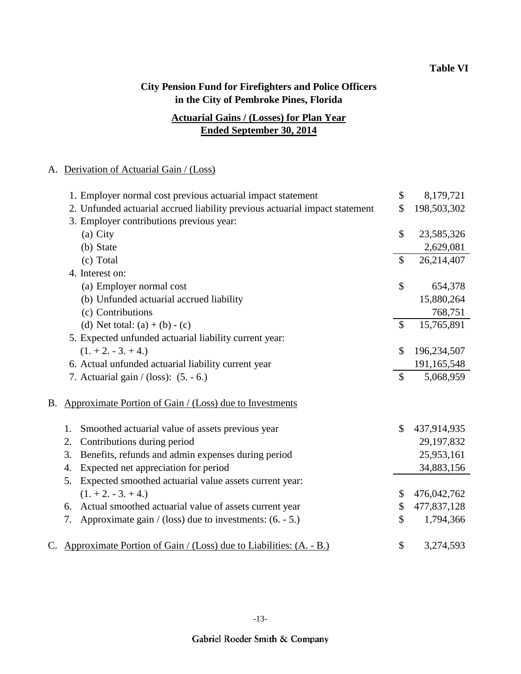## **Ended September 30, 2014 Actuarial Gains / (Losses) for Plan Year**

#### A. Derivation of Actuarial Gain / (Loss)

|    | 1. Employer normal cost previous actuarial impact statement                 | \$            | 8,179,721   |
|----|-----------------------------------------------------------------------------|---------------|-------------|
|    | 2. Unfunded actuarial accrued liability previous actuarial impact statement | \$            | 198,503,302 |
|    | 3. Employer contributions previous year:                                    |               |             |
|    | (a) City                                                                    | \$            | 23,585,326  |
|    | (b) State                                                                   |               | 2,629,081   |
|    | (c) Total                                                                   | $\mathcal{S}$ | 26,214,407  |
|    | 4. Interest on:                                                             |               |             |
|    | (a) Employer normal cost                                                    | \$            | 654,378     |
|    | (b) Unfunded actuarial accrued liability                                    |               | 15,880,264  |
|    | (c) Contributions                                                           |               | 768,751     |
|    | (d) Net total: $(a) + (b) - (c)$                                            | \$            | 15,765,891  |
|    | 5. Expected unfunded actuarial liability current year:                      |               |             |
|    | $(1. + 2. - 3. + 4.)$                                                       | $\mathcal{S}$ | 196,234,507 |
|    | 6. Actual unfunded actuarial liability current year                         |               | 191,165,548 |
|    | 7. Actuarial gain $/(loss)$ : (5. - 6.)                                     | $\mathcal{S}$ | 5,068,959   |
|    |                                                                             |               |             |
| В. | Approximate Portion of Gain / (Loss) due to Investments                     |               |             |
|    | Smoothed actuarial value of assets previous year<br>1.                      | \$            | 437,914,935 |
|    | Contributions during period<br>2.                                           |               | 29,197,832  |
|    | Benefits, refunds and admin expenses during period<br>3.                    |               | 25,953,161  |
|    | Expected net appreciation for period<br>4.                                  |               | 34,883,156  |
|    | Expected smoothed actuarial value assets current year:<br>5.                |               |             |
|    | $(1. + 2. - 3. + 4.)$                                                       | \$            | 476,042,762 |
|    | 6. Actual smoothed actuarial value of assets current year                   | \$            | 477,837,128 |
|    | Approximate gain / (loss) due to investments: $(6. - 5.)$<br>7.             | \$            | 1,794,366   |
|    |                                                                             |               |             |
|    | C. Approximate Portion of Gain / (Loss) due to Liabilities: (A. - B.)       | \$            | 3,274,593   |
|    |                                                                             |               |             |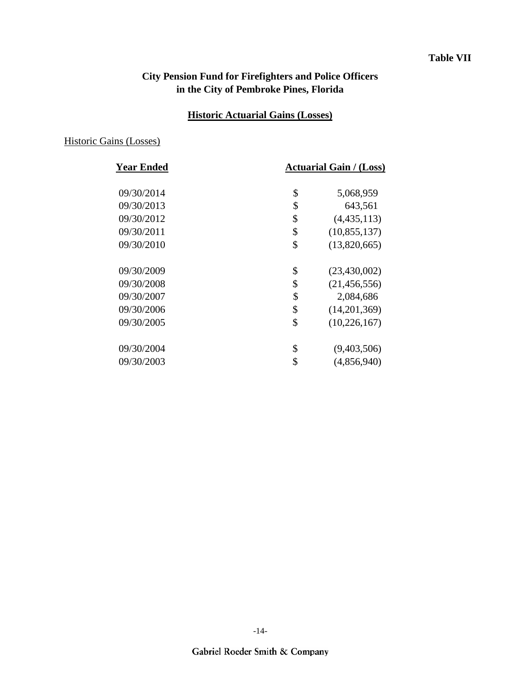### **Table VII**

## **City Pension Fund for Firefighters and Police Officers in the City of Pembroke Pines, Florida**

## **Historic Actuarial Gains (Losses)**

## Historic Gains (Losses)

| <b>Year Ended</b> | <b>Actuarial Gain / (Loss)</b> |  |  |  |
|-------------------|--------------------------------|--|--|--|
| 09/30/2014        | \$<br>5,068,959                |  |  |  |
| 09/30/2013        | \$<br>643,561                  |  |  |  |
| 09/30/2012        | \$<br>(4,435,113)              |  |  |  |
| 09/30/2011        | \$<br>(10, 855, 137)           |  |  |  |
| 09/30/2010        | \$<br>(13,820,665)             |  |  |  |
| 09/30/2009        | \$<br>(23, 430, 002)           |  |  |  |
| 09/30/2008        | \$<br>(21, 456, 556)           |  |  |  |
| 09/30/2007        | \$<br>2,084,686                |  |  |  |
| 09/30/2006        | \$<br>(14,201,369)             |  |  |  |
| 09/30/2005        | \$<br>(10, 226, 167)           |  |  |  |
| 09/30/2004        | \$<br>(9,403,506)              |  |  |  |
| 09/30/2003        | \$<br>(4,856,940)              |  |  |  |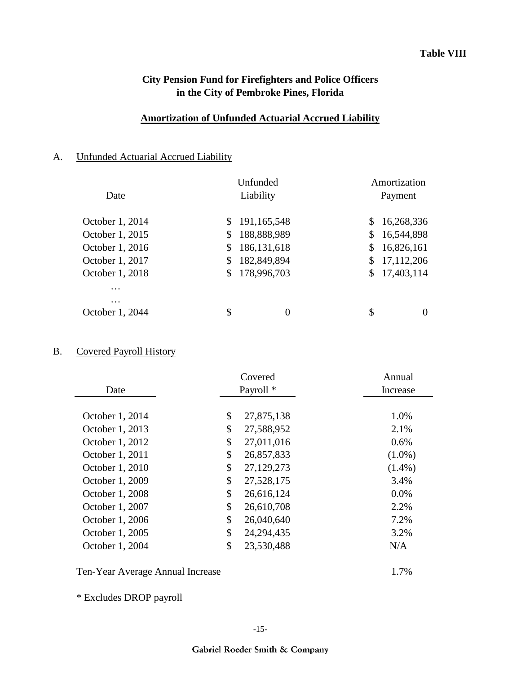### **Amortization of Unfunded Actuarial Accrued Liability**

## A. Unfunded Actuarial Accrued Liability

|                   | Unfunded  |               |    | Amortization |  |  |
|-------------------|-----------|---------------|----|--------------|--|--|
| Date              | Liability |               |    | Payment      |  |  |
|                   |           |               |    |              |  |  |
| October 1, 2014   | \$        | 191,165,548   | S. | 16,268,336   |  |  |
| October 1, 2015   | \$        | 188,888,989   | S. | 16,544,898   |  |  |
| October 1, 2016   | \$        | 186, 131, 618 | \$ | 16,826,161   |  |  |
| October 1, 2017   | \$        | 182,849,894   |    | 17,112,206   |  |  |
| October 1, 2018   | \$        | 178,996,703   | S. | 17,403,114   |  |  |
| $\cdot\cdot\cdot$ |           |               |    |              |  |  |
| $\cdots$          |           |               |    |              |  |  |
| October 1, 2044   | \$        | 0             | \$ |              |  |  |

## B. Covered Payroll History

|                 | Covered              | Annual    |
|-----------------|----------------------|-----------|
| Date            | Payroll <sup>*</sup> | Increase  |
|                 |                      |           |
| October 1, 2014 | \$<br>27,875,138     | 1.0%      |
| October 1, 2013 | \$<br>27,588,952     | 2.1%      |
| October 1, 2012 | \$<br>27,011,016     | 0.6%      |
| October 1, 2011 | \$<br>26,857,833     | $(1.0\%)$ |
| October 1, 2010 | \$<br>27,129,273     | $(1.4\%)$ |
| October 1, 2009 | \$<br>27,528,175     | 3.4%      |
| October 1, 2008 | \$<br>26,616,124     | $0.0\%$   |
| October 1, 2007 | \$<br>26,610,708     | 2.2%      |
| October 1, 2006 | \$<br>26,040,640     | 7.2%      |
| October 1, 2005 | \$<br>24, 294, 435   | 3.2%      |
| October 1, 2004 | \$<br>23,530,488     | N/A       |
|                 |                      |           |

Ten-Year Average Annual Increase 1.7%

\* Excludes DROP payroll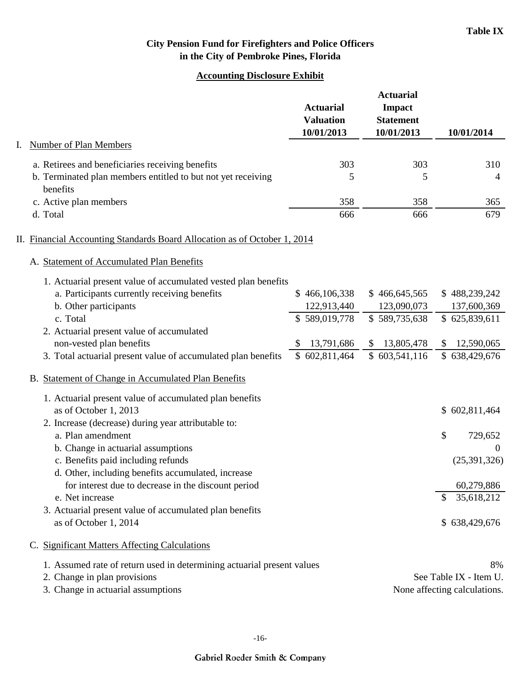#### **Accounting Disclosure Exhibit**

|    |                                                                                                                                         | <b>Actuarial</b><br><b>Valuation</b><br>10/01/2013 | <b>Actuarial</b><br><b>Impact</b><br><b>Statement</b><br>10/01/2013 | 10/01/2014                                  |
|----|-----------------------------------------------------------------------------------------------------------------------------------------|----------------------------------------------------|---------------------------------------------------------------------|---------------------------------------------|
| I. | Number of Plan Members                                                                                                                  |                                                    |                                                                     |                                             |
|    | a. Retirees and beneficiaries receiving benefits<br>b. Terminated plan members entitled to but not yet receiving<br>benefits            | 303<br>5                                           | 303<br>5                                                            | 310<br>4                                    |
|    | c. Active plan members                                                                                                                  | 358                                                | 358                                                                 | 365                                         |
|    | d. Total                                                                                                                                | 666                                                | 666                                                                 | 679                                         |
|    | II. Financial Accounting Standards Board Allocation as of October 1, 2014<br>A. Statement of Accumulated Plan Benefits                  |                                                    |                                                                     |                                             |
|    | 1. Actuarial present value of accumulated vested plan benefits<br>a. Participants currently receiving benefits<br>b. Other participants | \$466,106,338<br>122,913,440                       | \$466,645,565<br>123,090,073                                        | \$488,239,242<br>137,600,369                |
|    | c. Total                                                                                                                                | \$589,019,778                                      | \$589,735,638                                                       | \$625,839,611                               |
|    | 2. Actuarial present value of accumulated<br>non-vested plan benefits<br>3. Total actuarial present value of accumulated plan benefits  | 13,791,686<br>S.<br>\$602,811,464                  | \$ 13,805,478<br>\$603,541,116                                      | 12,590,065<br>$\mathbb{S}$<br>\$638,429,676 |
|    | B. Statement of Change in Accumulated Plan Benefits                                                                                     |                                                    |                                                                     |                                             |
|    | 1. Actuarial present value of accumulated plan benefits<br>as of October 1, 2013<br>2. Increase (decrease) during year attributable to: |                                                    |                                                                     | \$602,811,464                               |
|    | a. Plan amendment<br>b. Change in actuarial assumptions                                                                                 |                                                    |                                                                     | \$<br>729,652<br>$\overline{0}$             |
|    | c. Benefits paid including refunds<br>d. Other, including benefits accumulated, increase                                                |                                                    |                                                                     | (25, 391, 326)                              |
|    | for interest due to decrease in the discount period<br>e. Net increase                                                                  |                                                    |                                                                     | 60,279,886<br>35,618,212<br>$\mathbb{S}$    |
|    | 3. Actuarial present value of accumulated plan benefits<br>as of October 1, 2014                                                        |                                                    |                                                                     | \$638,429,676                               |
|    | C. Significant Matters Affecting Calculations                                                                                           |                                                    |                                                                     |                                             |
|    | 1. Assumed rate of return used in determining actuarial present values<br>2. Change in plan provisions                                  |                                                    |                                                                     | 8%<br>See Table IX - Item U.                |
|    | 3. Change in actuarial assumptions                                                                                                      |                                                    |                                                                     | None affecting calculations.                |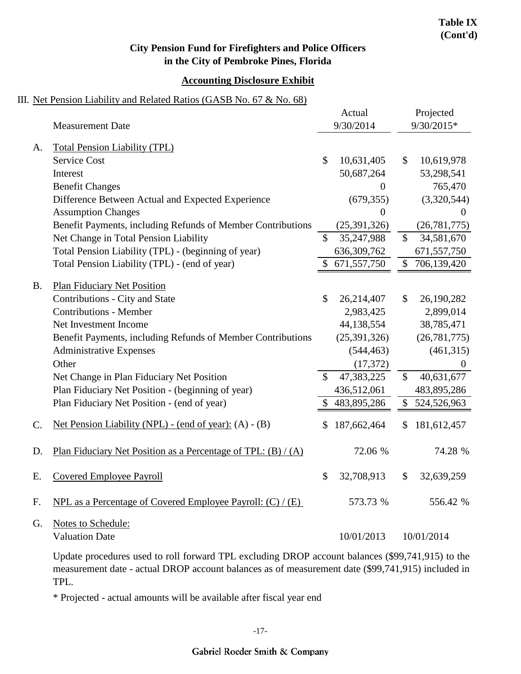#### **Accounting Disclosure Exhibit**

#### III. Net Pension Liability and Related Ratios (GASB No. 67 & No. 68)

|           |                                                                                |                           | Actual         |              | Projected      |
|-----------|--------------------------------------------------------------------------------|---------------------------|----------------|--------------|----------------|
|           | <b>Measurement Date</b>                                                        |                           | 9/30/2014      |              | 9/30/2015*     |
| A.        | <b>Total Pension Liability (TPL)</b>                                           |                           |                |              |                |
|           | <b>Service Cost</b>                                                            | $\mathbb{S}$              | 10,631,405     | $\mathbb{S}$ | 10,619,978     |
|           | Interest                                                                       |                           | 50,687,264     |              | 53,298,541     |
|           | <b>Benefit Changes</b>                                                         |                           | $\theta$       |              | 765,470        |
|           | Difference Between Actual and Expected Experience                              |                           | (679, 355)     |              | (3,320,544)    |
|           | <b>Assumption Changes</b>                                                      |                           | $\theta$       |              | $\theta$       |
|           | Benefit Payments, including Refunds of Member Contributions                    |                           | (25, 391, 326) |              | (26, 781, 775) |
|           | Net Change in Total Pension Liability                                          | $\mathbb{S}$              | 35,247,988     | \$           | 34,581,670     |
|           | Total Pension Liability (TPL) - (beginning of year)                            |                           | 636,309,762    |              | 671,557,750    |
|           | Total Pension Liability (TPL) - (end of year)                                  | \$                        | 671,557,750    | \$           | 706,139,420    |
|           |                                                                                |                           |                |              |                |
| <b>B.</b> | <b>Plan Fiduciary Net Position</b>                                             |                           |                |              |                |
|           | Contributions - City and State                                                 | \$                        | 26,214,407     | \$           | 26,190,282     |
|           | <b>Contributions - Member</b>                                                  |                           | 2,983,425      |              | 2,899,014      |
|           | Net Investment Income                                                          |                           | 44,138,554     |              | 38,785,471     |
|           | Benefit Payments, including Refunds of Member Contributions                    |                           | (25, 391, 326) |              | (26, 781, 775) |
|           | <b>Administrative Expenses</b>                                                 |                           | (544, 463)     |              | (461,315)      |
|           | Other                                                                          |                           | (17, 372)      |              | $\overline{0}$ |
|           | Net Change in Plan Fiduciary Net Position                                      | \$                        | 47,383,225     | \$           | 40,631,677     |
|           | Plan Fiduciary Net Position - (beginning of year)                              |                           | 436,512,061    |              | 483,895,286    |
|           | Plan Fiduciary Net Position - (end of year)                                    | \$                        | 483,895,286    | \$           | 524,526,963    |
| C.        | Net Pension Liability (NPL) - (end of year): (A) - (B)                         | \$                        | 187,662,464    | \$.          | 181,612,457    |
| D.        | Plan Fiduciary Net Position as a Percentage of TPL: $(B) / (A)$                |                           | 72.06 %        |              | 74.28 %        |
| E.        | <b>Covered Employee Payroll</b>                                                | $\boldsymbol{\mathsf{S}}$ | 32,708,913     | \$           | 32,639,259     |
| F.        | <u>NPL as a Percentage of Covered Employee Payroll: <math>(C) / (E)</math></u> |                           | 573.73 %       |              | 556.42 %       |
| G.        | Notes to Schedule:                                                             |                           |                |              |                |
|           | <b>Valuation Date</b>                                                          |                           | 10/01/2013     |              | 10/01/2014     |

Update procedures used to roll forward TPL excluding DROP account balances (\$99,741,915) to the measurement date - actual DROP account balances as of measurement date (\$99,741,915) included in TPL.

\* Projected - actual amounts will be available after fiscal year end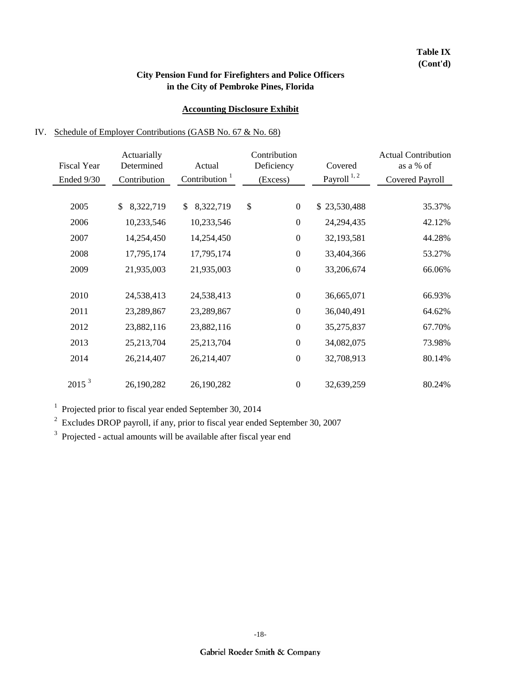#### **Accounting Disclosure Exhibit**

#### IV. Schedule of Employer Contributions (GASB No. 67 & No. 68)

|                    | Actuarially     |                           | Contribution           |                  | <b>Actual Contribution</b> |
|--------------------|-----------------|---------------------------|------------------------|------------------|----------------------------|
| <b>Fiscal Year</b> | Determined      | Actual                    | Deficiency             | Covered          | as a % of                  |
| Ended 9/30         | Contribution    | Contribution <sup>1</sup> | (Excess)               | Payroll $^{1,2}$ | <b>Covered Payroll</b>     |
|                    |                 |                           |                        |                  |                            |
| 2005               | \$<br>8,322,719 | 8,322,719<br>\$           | \$<br>$\boldsymbol{0}$ | \$23,530,488     | 35.37%                     |
| 2006               | 10,233,546      | 10,233,546                | $\boldsymbol{0}$       | 24,294,435       | 42.12%                     |
| 2007               | 14,254,450      | 14,254,450                | $\boldsymbol{0}$       | 32,193,581       | 44.28%                     |
| 2008               | 17,795,174      | 17,795,174                | $\boldsymbol{0}$       | 33,404,366       | 53.27%                     |
| 2009               | 21,935,003      | 21,935,003                | $\boldsymbol{0}$       | 33,206,674       | 66.06%                     |
|                    |                 |                           |                        |                  |                            |
| 2010               | 24,538,413      | 24,538,413                | $\boldsymbol{0}$       | 36,665,071       | 66.93%                     |
| 2011               | 23,289,867      | 23,289,867                | $\boldsymbol{0}$       | 36,040,491       | 64.62%                     |
| 2012               | 23,882,116      | 23,882,116                | $\boldsymbol{0}$       | 35,275,837       | 67.70%                     |
| 2013               | 25,213,704      | 25,213,704                | $\boldsymbol{0}$       | 34,082,075       | 73.98%                     |
| 2014               | 26,214,407      | 26,214,407                | $\boldsymbol{0}$       | 32,708,913       | 80.14%                     |
|                    |                 |                           |                        |                  |                            |
| 2015 <sup>3</sup>  | 26,190,282      | 26,190,282                | $\boldsymbol{0}$       | 32,639,259       | 80.24%                     |

<sup>1</sup> Projected prior to fiscal year ended September 30, 2014

 $2^{2}$  Excludes DROP payroll, if any, prior to fiscal year ended September 30, 2007

<sup>3</sup> Projected - actual amounts will be available after fiscal year end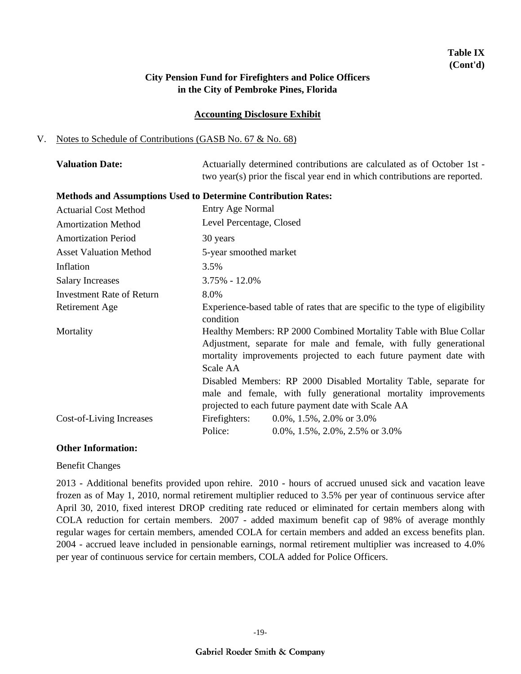## **Table IX (Cont'd)**

### **City Pension Fund for Firefighters and Police Officers in the City of Pembroke Pines, Florida**

#### **Accounting Disclosure Exhibit**

#### V. Notes to Schedule of Contributions (GASB No. 67 & No. 68)

| <b>Valuation Date:</b> | Actuarially determined contributions are calculated as of October 1st -    |
|------------------------|----------------------------------------------------------------------------|
|                        | two year(s) prior the fiscal year end in which contributions are reported. |

#### **Methods and Assumptions Used to Determine Contribution Rates:**

| <b>Actuarial Cost Method</b>  | <b>Entry Age Normal</b>                                                                                                                                                                                                                                                                                                                                                                                                |
|-------------------------------|------------------------------------------------------------------------------------------------------------------------------------------------------------------------------------------------------------------------------------------------------------------------------------------------------------------------------------------------------------------------------------------------------------------------|
| <b>Amortization Method</b>    | Level Percentage, Closed                                                                                                                                                                                                                                                                                                                                                                                               |
| <b>Amortization Period</b>    | 30 years                                                                                                                                                                                                                                                                                                                                                                                                               |
| <b>Asset Valuation Method</b> | 5-year smoothed market                                                                                                                                                                                                                                                                                                                                                                                                 |
| Inflation                     | 3.5%                                                                                                                                                                                                                                                                                                                                                                                                                   |
| <b>Salary Increases</b>       | $3.75\% - 12.0\%$                                                                                                                                                                                                                                                                                                                                                                                                      |
| Investment Rate of Return     | 8.0%                                                                                                                                                                                                                                                                                                                                                                                                                   |
| Retirement Age                | Experience-based table of rates that are specific to the type of eligibility<br>condition                                                                                                                                                                                                                                                                                                                              |
| Mortality                     | Healthy Members: RP 2000 Combined Mortality Table with Blue Collar<br>Adjustment, separate for male and female, with fully generational<br>mortality improvements projected to each future payment date with<br>Scale AA<br>Disabled Members: RP 2000 Disabled Mortality Table, separate for<br>male and female, with fully generational mortality improvements<br>projected to each future payment date with Scale AA |
| Cost-of-Living Increases      | Firefighters:<br>$0.0\%$ , 1.5%, 2.0% or 3.0%<br>Police:<br>0.0%, 1.5%, 2.0%, 2.5% or $3.0\%$                                                                                                                                                                                                                                                                                                                          |

#### **Other Information:**

Benefit Changes

2013 - Additional benefits provided upon rehire. 2010 - hours of accrued unused sick and vacation leave frozen as of May 1, 2010, normal retirement multiplier reduced to 3.5% per year of continuous service after April 30, 2010, fixed interest DROP crediting rate reduced or eliminated for certain members along with COLA reduction for certain members. 2007 - added maximum benefit cap of 98% of average monthly regular wages for certain members, amended COLA for certain members and added an excess benefits plan. 2004 - accrued leave included in pensionable earnings, normal retirement multiplier was increased to 4.0% per year of continuous service for certain members, COLA added for Police Officers.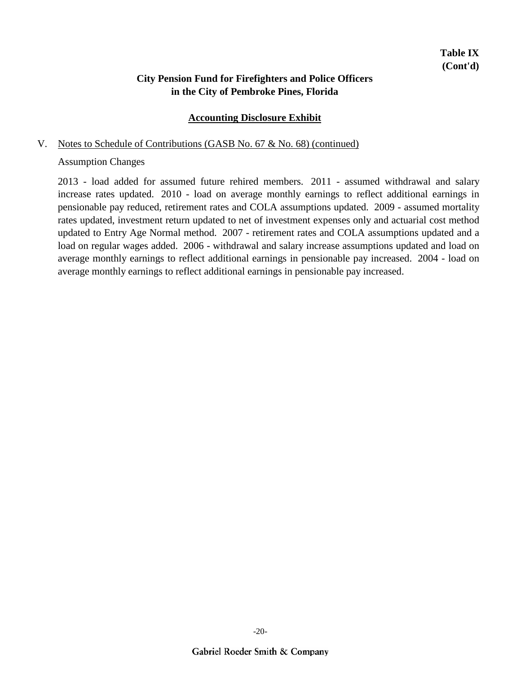### **Accounting Disclosure Exhibit**

#### V. Notes to Schedule of Contributions (GASB No. 67 & No. 68) (continued)

#### Assumption Changes

2013 - load added for assumed future rehired members. 2011 - assumed withdrawal and salary increase rates updated. 2010 - load on average monthly earnings to reflect additional earnings in pensionable pay reduced, retirement rates and COLA assumptions updated. 2009 - assumed mortality rates updated, investment return updated to net of investment expenses only and actuarial cost method updated to Entry Age Normal method. 2007 - retirement rates and COLA assumptions updated and a load on regular wages added. 2006 - withdrawal and salary increase assumptions updated and load on average monthly earnings to reflect additional earnings in pensionable pay increased. 2004 - load on average monthly earnings to reflect additional earnings in pensionable pay increased.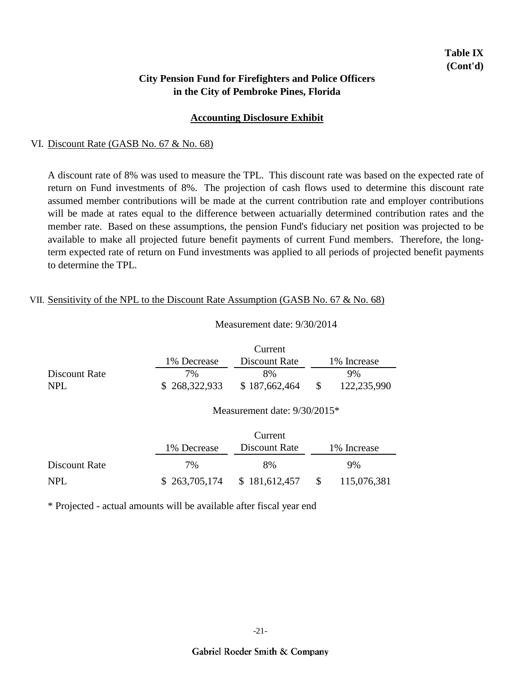#### **Accounting Disclosure Exhibit**

#### VI. Discount Rate (GASB No. 67 & No. 68)

A discount rate of 8% was used to measure the TPL. This discount rate was based on the expected rate of return on Fund investments of 8%. The projection of cash flows used to determine this discount rate assumed member contributions will be made at the current contribution rate and employer contributions will be made at rates equal to the difference between actuarially determined contribution rates and the member rate. Based on these assumptions, the pension Fund's fiduciary net position was projected to be available to make all projected future benefit payments of current Fund members. Therefore, the longterm expected rate of return on Fund investments was applied to all periods of projected benefit payments to determine the TPL.

#### VII. Sensitivity of the NPL to the Discount Rate Assumption (GASB No. 67 & No. 68)

#### Measurement date: 9/30/2014

|               |               | Current       |              |
|---------------|---------------|---------------|--------------|
|               | 1% Decrease   | Discount Rate | 1\% Increase |
| Discount Rate | 7%            | 8%            | 9%           |
| NPL           | \$268,322,933 | \$187,662,464 | 122,235,990  |

#### Measurement date: 9/30/2015\*

|               | Current     |                               |     |              |  |
|---------------|-------------|-------------------------------|-----|--------------|--|
|               | 1% Decrease | Discount Rate                 |     | 1\% Increase |  |
| Discount Rate | $7\%$       | 8%                            |     | 9%           |  |
| NPL           |             | $$263,705,174$ $$181,612,457$ | - S | 115,076,381  |  |

\* Projected - actual amounts will be available after fiscal year end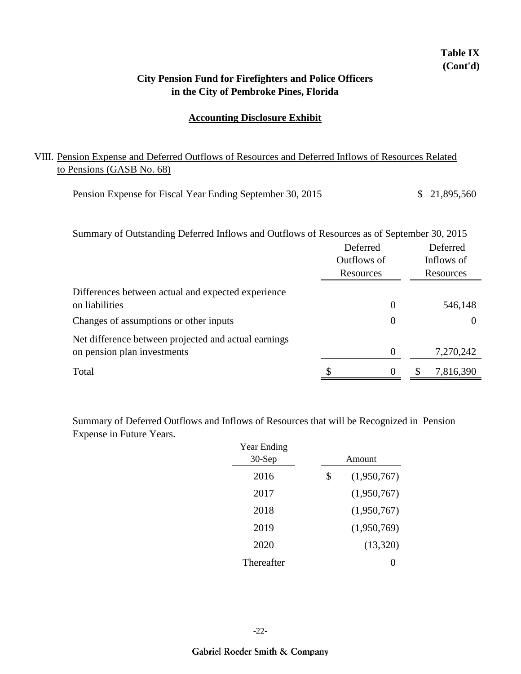## **in the City of Pembroke Pines, Florida City Pension Fund for Firefighters and Police Officers**

**Table IX (Cont'd)**

#### **Accounting Disclosure Exhibit**

### VIII. Pension Expense and Deferred Outflows of Resources and Deferred Inflows of Resources Related to Pensions (GASB No. 68)

| Pension Expense for Fiscal Year Ending September 30, 2015 | \$21,895,560 |
|-----------------------------------------------------------|--------------|
|-----------------------------------------------------------|--------------|

| Summary of Outstanding Deferred Inflows and Outflows of Resources as of September 30, 2015 |             |                |  |            |
|--------------------------------------------------------------------------------------------|-------------|----------------|--|------------|
|                                                                                            | Deferred    |                |  | Deferred   |
|                                                                                            | Outflows of |                |  | Inflows of |
|                                                                                            | Resources   |                |  | Resources  |
| Differences between actual and expected experience                                         |             |                |  |            |
| on liabilities                                                                             |             | $\theta$       |  | 546,148    |
| Changes of assumptions or other inputs                                                     |             | $\theta$       |  | $\theta$   |
| Net difference between projected and actual earnings                                       |             |                |  |            |
| on pension plan investments                                                                |             | $\overline{0}$ |  | 7,270,242  |
| Total                                                                                      |             | $\theta$       |  | 7,816,390  |

Summary of Deferred Outflows and Inflows of Resources that will be Recognized in Pension Expense in Future Years.

| <b>Year Ending</b> |                   |
|--------------------|-------------------|
| 30-Sep             | Amount            |
| 2016               | \$<br>(1,950,767) |
| 2017               | (1,950,767)       |
| 2018               | (1,950,767)       |
| 2019               | (1,950,769)       |
| 2020               | (13,320)          |
| Thereafter         |                   |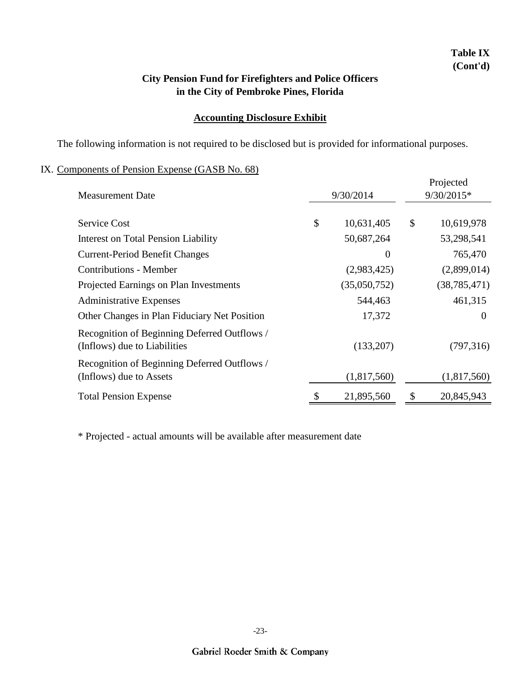## **Table IX (Cont'd)**

## **in the City of Pembroke Pines, Florida City Pension Fund for Firefighters and Police Officers**

### **Accounting Disclosure Exhibit**

The following information is not required to be disclosed but is provided for informational purposes.

### IX. Components of Pension Expense (GASB No. 68)

| <b>Measurement Date</b>                                                      | 9/30/2014        | Projected<br>9/30/2015* |                |  |
|------------------------------------------------------------------------------|------------------|-------------------------|----------------|--|
|                                                                              |                  |                         |                |  |
| <b>Service Cost</b>                                                          | \$<br>10,631,405 | \$                      | 10,619,978     |  |
| <b>Interest on Total Pension Liability</b>                                   | 50,687,264       |                         | 53,298,541     |  |
| <b>Current-Period Benefit Changes</b>                                        | 0                |                         | 765,470        |  |
| <b>Contributions - Member</b>                                                | (2,983,425)      |                         | (2,899,014)    |  |
| Projected Earnings on Plan Investments                                       | (35,050,752)     |                         | (38, 785, 471) |  |
| <b>Administrative Expenses</b>                                               | 544,463          |                         | 461,315        |  |
| Other Changes in Plan Fiduciary Net Position                                 | 17,372           |                         | $\theta$       |  |
| Recognition of Beginning Deferred Outflows /<br>(Inflows) due to Liabilities | (133,207)        |                         | (797,316)      |  |
| Recognition of Beginning Deferred Outflows /<br>(Inflows) due to Assets      | (1,817,560)      |                         | (1,817,560)    |  |
| <b>Total Pension Expense</b>                                                 | 21,895,560       | \$                      | 20,845,943     |  |

\* Projected - actual amounts will be available after measurement date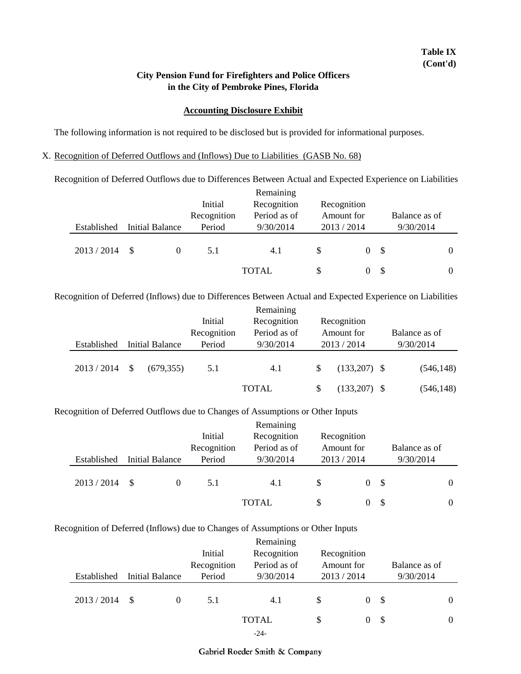#### **Accounting Disclosure Exhibit**

The following information is not required to be disclosed but is provided for informational purposes.

#### X. Recognition of Deferred Outflows and (Inflows) Due to Liabilities (GASB No. 68)

Recognition of Deferred Outflows due to Differences Between Actual and Expected Experience on Liabilities

|             |                 |             | Remaining    |             |          |      |               |   |
|-------------|-----------------|-------------|--------------|-------------|----------|------|---------------|---|
|             |                 | Initial     | Recognition  | Recognition |          |      |               |   |
|             |                 | Recognition | Period as of | Amount for  |          |      | Balance as of |   |
| Established | Initial Balance | Period      | 9/30/2014    | 2013/2014   |          |      | 9/30/2014     |   |
|             |                 |             |              |             |          |      |               |   |
| 2013 / 2014 | - \$            | 5.1         | 4.1          | \$.         | $\theta$ | - \$ |               | 0 |
|             |                 |             |              |             |          |      |               |   |
|             |                 |             | <b>TOTAL</b> | \$          |          | - \$ |               | 0 |

Recognition of Deferred (Inflows) due to Differences Between Actual and Expected Experience on Liabilities

|  |             |              |                        | Initial                                    |              | Recognition |                |  |               |  |  |
|--|-------------|--------------|------------------------|--------------------------------------------|--------------|-------------|----------------|--|---------------|--|--|
|  |             |              |                        | Recognition<br>Period as of<br>Recognition |              | Amount for  |                |  | Balance as of |  |  |
|  | Established |              | <b>Initial Balance</b> | Period                                     | 9/30/2014    |             | 2013/2014      |  | 9/30/2014     |  |  |
|  | 2013 / 2014 | $\mathbb{S}$ | (679, 355)             | 5.1                                        | 4.1          | S           | $(133,207)$ \$ |  | (546, 148)    |  |  |
|  |             |              |                        |                                            | <b>TOTAL</b> | S           | $(133,207)$ \$ |  | (546, 148)    |  |  |

#### Recognition of Deferred Outflows due to Changes of Assumptions or Other Inputs

|             |                        |             | Remaining    |           |                |      |               |   |
|-------------|------------------------|-------------|--------------|-----------|----------------|------|---------------|---|
|             |                        | Initial     | Recognition  |           | Recognition    |      |               |   |
|             |                        | Recognition | Period as of |           | Amount for     |      | Balance as of |   |
| Established | <b>Initial Balance</b> | Period      | 9/30/2014    | 2013/2014 |                |      | 9/30/2014     |   |
|             |                        |             |              |           |                |      |               |   |
| 2013/2014   | - \$                   | 5.1         | 4.1          | S         | 0 <sup>5</sup> |      |               | 0 |
|             |                        |             | <b>TOTAL</b> | \$        |                | - \$ |               | 0 |

#### Recognition of Deferred (Inflows) due to Changes of Assumptions or Other Inputs

|             |    |                 |                                       | Remaining    |                |     |               |  |
|-------------|----|-----------------|---------------------------------------|--------------|----------------|-----|---------------|--|
|             |    |                 | Initial<br>Recognition<br>Recognition |              |                |     |               |  |
|             |    |                 | Recognition                           | Period as of | Amount for     |     | Balance as of |  |
| Established |    | Initial Balance | Period                                | 9/30/2014    | 2013/2014      |     | 9/30/2014     |  |
|             |    |                 |                                       |              |                |     |               |  |
| 2013/2014   | -S | $\Omega$        | 5.1                                   | 4.1          | \$<br>$\Omega$ | \$  |               |  |
|             |    |                 |                                       |              |                |     |               |  |
|             |    |                 |                                       | <b>TOTAL</b> | \$<br>0        | -\$ |               |  |
|             |    |                 |                                       | $-24-$       |                |     |               |  |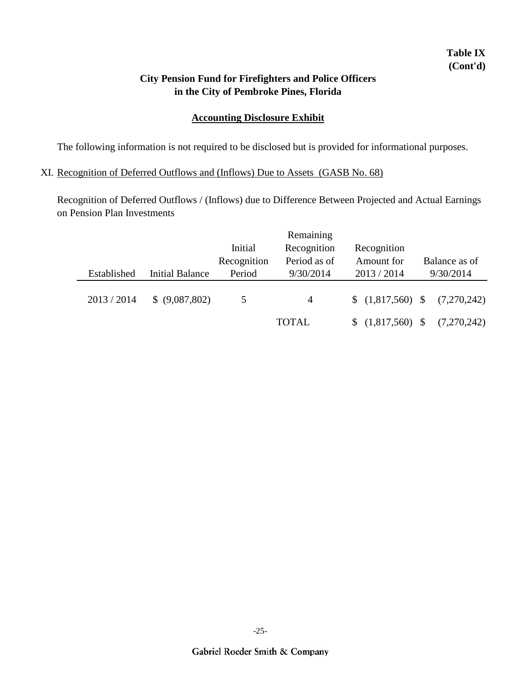## **Table IX (Cont'd)**

## **in the City of Pembroke Pines, Florida City Pension Fund for Firefighters and Police Officers**

### **Accounting Disclosure Exhibit**

The following information is not required to be disclosed but is provided for informational purposes.

### XI. Recognition of Deferred Outflows and (Inflows) Due to Assets (GASB No. 68)

Recognition of Deferred Outflows / (Inflows) due to Difference Between Projected and Actual Earnings on Pension Plan Investments

|             |                        |             | Remaining      |                      |               |
|-------------|------------------------|-------------|----------------|----------------------|---------------|
|             |                        | Initial     | Recognition    | Recognition          |               |
|             |                        | Recognition | Period as of   | Amount for           | Balance as of |
| Established | <b>Initial Balance</b> | Period      | 9/30/2014      | 2013 / 2014          | 9/30/2014     |
| 2013/2014   | \$ (9,087,802)         | 5           | $\overline{4}$ | $$(1,817,560)$ \, \$ | (7,270,242)   |
|             |                        |             |                |                      |               |
|             |                        |             | <b>TOTAL</b>   | (1,817,560)          | (7,270,242)   |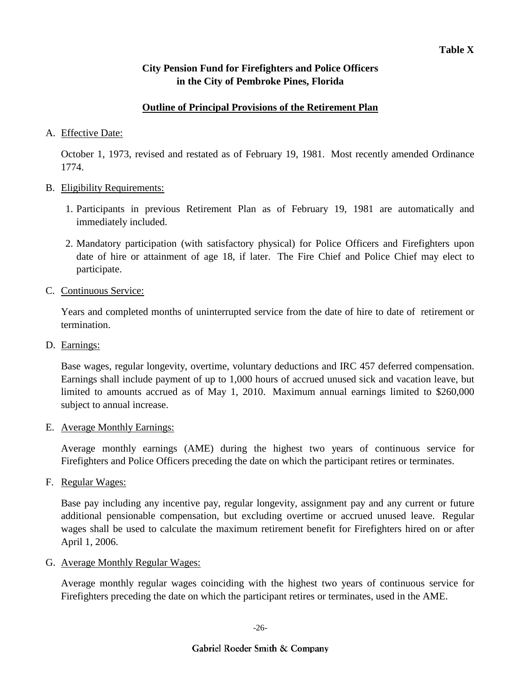### **Outline of Principal Provisions of the Retirement Plan**

### A. Effective Date:

October 1, 1973, revised and restated as of February 19, 1981. Most recently amended Ordinance 1774.

#### B. Eligibility Requirements:

- 1. Participants in previous Retirement Plan as of February 19, 1981 are automatically and immediately included.
- 2. Mandatory participation (with satisfactory physical) for Police Officers and Firefighters upon date of hire or attainment of age 18, if later. The Fire Chief and Police Chief may elect to participate.
- C. Continuous Service:

Years and completed months of uninterrupted service from the date of hire to date of retirement or termination.

D. Earnings:

Base wages, regular longevity, overtime, voluntary deductions and IRC 457 deferred compensation. Earnings shall include payment of up to 1,000 hours of accrued unused sick and vacation leave, but limited to amounts accrued as of May 1, 2010. Maximum annual earnings limited to \$260,000 subject to annual increase.

E. Average Monthly Earnings:

Average monthly earnings (AME) during the highest two years of continuous service for Firefighters and Police Officers preceding the date on which the participant retires or terminates.

F. Regular Wages:

Base pay including any incentive pay, regular longevity, assignment pay and any current or future additional pensionable compensation, but excluding overtime or accrued unused leave. Regular wages shall be used to calculate the maximum retirement benefit for Firefighters hired on or after April 1, 2006.

G. Average Monthly Regular Wages:

Average monthly regular wages coinciding with the highest two years of continuous service for Firefighters preceding the date on which the participant retires or terminates, used in the AME.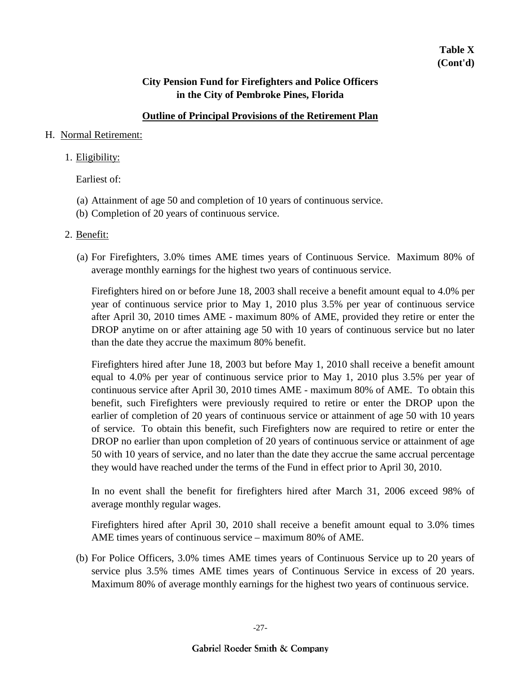### **Outline of Principal Provisions of the Retirement Plan**

#### H. Normal Retirement:

#### 1. Eligibility:

Earliest of:

- (a) Attainment of age 50 and completion of 10 years of continuous service.
- (b) Completion of 20 years of continuous service.

#### 2. Benefit:

(a) For Firefighters, 3.0% times AME times years of Continuous Service. Maximum 80% of average monthly earnings for the highest two years of continuous service.

Firefighters hired on or before June 18, 2003 shall receive a benefit amount equal to 4.0% per year of continuous service prior to May 1, 2010 plus 3.5% per year of continuous service after April 30, 2010 times AME - maximum 80% of AME, provided they retire or enter the DROP anytime on or after attaining age 50 with 10 years of continuous service but no later than the date they accrue the maximum 80% benefit.

Firefighters hired after June 18, 2003 but before May 1, 2010 shall receive a benefit amount equal to 4.0% per year of continuous service prior to May 1, 2010 plus 3.5% per year of continuous service after April 30, 2010 times AME - maximum 80% of AME. To obtain this benefit, such Firefighters were previously required to retire or enter the DROP upon the earlier of completion of 20 years of continuous service or attainment of age 50 with 10 years of service. To obtain this benefit, such Firefighters now are required to retire or enter the DROP no earlier than upon completion of 20 years of continuous service or attainment of age 50 with 10 years of service, and no later than the date they accrue the same accrual percentage they would have reached under the terms of the Fund in effect prior to April 30, 2010.

In no event shall the benefit for firefighters hired after March 31, 2006 exceed 98% of average monthly regular wages.

Firefighters hired after April 30, 2010 shall receive a benefit amount equal to 3.0% times AME times years of continuous service – maximum 80% of AME.

(b) For Police Officers, 3.0% times AME times years of Continuous Service up to 20 years of service plus 3.5% times AME times years of Continuous Service in excess of 20 years. Maximum 80% of average monthly earnings for the highest two years of continuous service.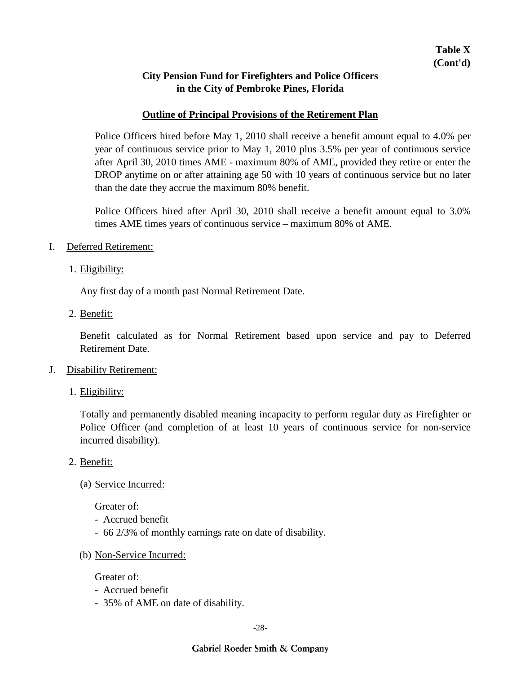#### **Outline of Principal Provisions of the Retirement Plan**

Police Officers hired before May 1, 2010 shall receive a benefit amount equal to 4.0% per year of continuous service prior to May 1, 2010 plus 3.5% per year of continuous service after April 30, 2010 times AME - maximum 80% of AME, provided they retire or enter the DROP anytime on or after attaining age 50 with 10 years of continuous service but no later than the date they accrue the maximum 80% benefit.

Police Officers hired after April 30, 2010 shall receive a benefit amount equal to 3.0% times AME times years of continuous service – maximum 80% of AME.

- I. Deferred Retirement:
	- 1. Eligibility:

Any first day of a month past Normal Retirement Date.

2. Benefit:

Benefit calculated as for Normal Retirement based upon service and pay to Deferred Retirement Date.

- J. Disability Retirement:
	- 1. Eligibility:

Totally and permanently disabled meaning incapacity to perform regular duty as Firefighter or Police Officer (and completion of at least 10 years of continuous service for non-service incurred disability).

- 2. Benefit:
	- (a) Service Incurred:

Greater of:

- Accrued benefit
- 66 2/3% of monthly earnings rate on date of disability.
- (b) Non-Service Incurred:

Greater of:

- Accrued benefit
- 35% of AME on date of disability.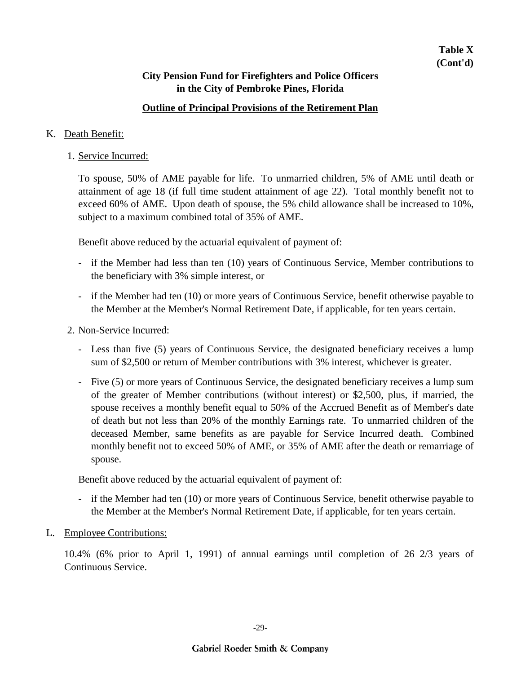### **Outline of Principal Provisions of the Retirement Plan**

#### K. Death Benefit:

1. Service Incurred:

To spouse, 50% of AME payable for life. To unmarried children, 5% of AME until death or attainment of age 18 (if full time student attainment of age 22). Total monthly benefit not to exceed 60% of AME. Upon death of spouse, the 5% child allowance shall be increased to 10%, subject to a maximum combined total of 35% of AME.

Benefit above reduced by the actuarial equivalent of payment of:

- if the Member had less than ten (10) years of Continuous Service, Member contributions to the beneficiary with 3% simple interest, or
- if the Member had ten (10) or more years of Continuous Service, benefit otherwise payable to the Member at the Member's Normal Retirement Date, if applicable, for ten years certain.
- 2. Non-Service Incurred:
	- Less than five (5) years of Continuous Service, the designated beneficiary receives a lump sum of \$2,500 or return of Member contributions with 3% interest, whichever is greater.
	- Five (5) or more years of Continuous Service, the designated beneficiary receives a lump sum of the greater of Member contributions (without interest) or \$2,500, plus, if married, the spouse receives a monthly benefit equal to 50% of the Accrued Benefit as of Member's date of death but not less than 20% of the monthly Earnings rate. To unmarried children of the deceased Member, same benefits as are payable for Service Incurred death. Combined monthly benefit not to exceed 50% of AME, or 35% of AME after the death or remarriage of spouse.

Benefit above reduced by the actuarial equivalent of payment of:

- if the Member had ten (10) or more years of Continuous Service, benefit otherwise payable to the Member at the Member's Normal Retirement Date, if applicable, for ten years certain.
- L. Employee Contributions:

10.4% (6% prior to April 1, 1991) of annual earnings until completion of 26 2/3 years of Continuous Service.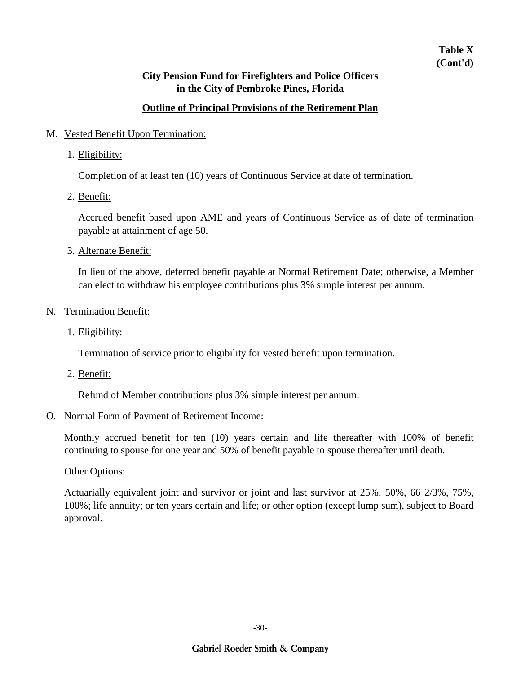## **Table X (Cont'd)**

## **City Pension Fund for Firefighters and Police Officers in the City of Pembroke Pines, Florida**

### **Outline of Principal Provisions of the Retirement Plan**

#### M. Vested Benefit Upon Termination:

1. Eligibility:

Completion of at least ten (10) years of Continuous Service at date of termination.

2. Benefit:

Accrued benefit based upon AME and years of Continuous Service as of date of termination payable at attainment of age 50.

3. Alternate Benefit:

In lieu of the above, deferred benefit payable at Normal Retirement Date; otherwise, a Member can elect to withdraw his employee contributions plus 3% simple interest per annum.

- N. Termination Benefit:
	- 1. Eligibility:

Termination of service prior to eligibility for vested benefit upon termination.

2. Benefit:

Refund of Member contributions plus 3% simple interest per annum.

#### O. Normal Form of Payment of Retirement Income:

Monthly accrued benefit for ten (10) years certain and life thereafter with 100% of benefit continuing to spouse for one year and 50% of benefit payable to spouse thereafter until death.

#### Other Options:

Actuarially equivalent joint and survivor or joint and last survivor at 25%, 50%, 66 2/3%, 75%, 100%; life annuity; or ten years certain and life; or other option (except lump sum), subject to Board approval.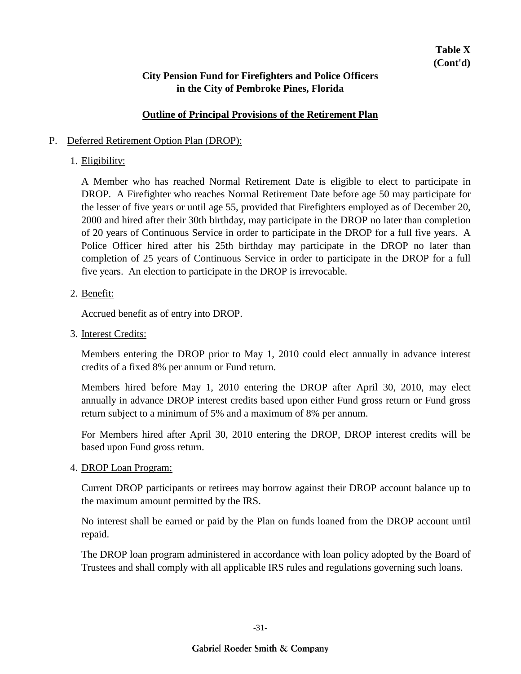#### **Outline of Principal Provisions of the Retirement Plan**

#### P. Deferred Retirement Option Plan (DROP):

#### 1. Eligibility:

A Member who has reached Normal Retirement Date is eligible to elect to participate in DROP. A Firefighter who reaches Normal Retirement Date before age 50 may participate for the lesser of five years or until age 55, provided that Firefighters employed as of December 20, 2000 and hired after their 30th birthday, may participate in the DROP no later than completion of 20 years of Continuous Service in order to participate in the DROP for a full five years. A Police Officer hired after his 25th birthday may participate in the DROP no later than completion of 25 years of Continuous Service in order to participate in the DROP for a full five years. An election to participate in the DROP is irrevocable.

#### 2. Benefit:

Accrued benefit as of entry into DROP.

3. Interest Credits:

Members entering the DROP prior to May 1, 2010 could elect annually in advance interest credits of a fixed 8% per annum or Fund return.

Members hired before May 1, 2010 entering the DROP after April 30, 2010, may elect annually in advance DROP interest credits based upon either Fund gross return or Fund gross return subject to a minimum of 5% and a maximum of 8% per annum.

For Members hired after April 30, 2010 entering the DROP, DROP interest credits will be based upon Fund gross return.

#### 4. **DROP** Loan Program:

Current DROP participants or retirees may borrow against their DROP account balance up to the maximum amount permitted by the IRS.

No interest shall be earned or paid by the Plan on funds loaned from the DROP account until repaid.

The DROP loan program administered in accordance with loan policy adopted by the Board of Trustees and shall comply with all applicable IRS rules and regulations governing such loans.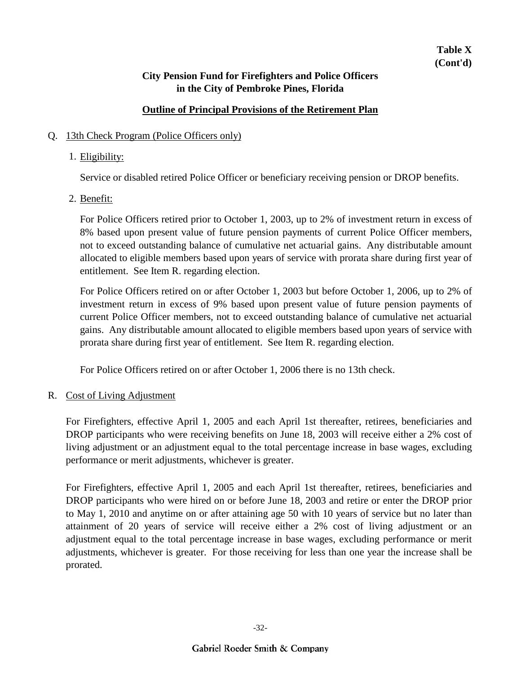### **Outline of Principal Provisions of the Retirement Plan**

### Q. 13th Check Program (Police Officers only)

### 1. Eligibility:

Service or disabled retired Police Officer or beneficiary receiving pension or DROP benefits.

2. Benefit:

For Police Officers retired prior to October 1, 2003, up to 2% of investment return in excess of 8% based upon present value of future pension payments of current Police Officer members, not to exceed outstanding balance of cumulative net actuarial gains. Any distributable amount allocated to eligible members based upon years of service with prorata share during first year of entitlement. See Item R. regarding election.

For Police Officers retired on or after October 1, 2003 but before October 1, 2006, up to 2% of investment return in excess of 9% based upon present value of future pension payments of current Police Officer members, not to exceed outstanding balance of cumulative net actuarial gains. Any distributable amount allocated to eligible members based upon years of service with prorata share during first year of entitlement. See Item R. regarding election.

For Police Officers retired on or after October 1, 2006 there is no 13th check.

### R. Cost of Living Adjustment

For Firefighters, effective April 1, 2005 and each April 1st thereafter, retirees, beneficiaries and DROP participants who were receiving benefits on June 18, 2003 will receive either a 2% cost of living adjustment or an adjustment equal to the total percentage increase in base wages, excluding performance or merit adjustments, whichever is greater.

For Firefighters, effective April 1, 2005 and each April 1st thereafter, retirees, beneficiaries and DROP participants who were hired on or before June 18, 2003 and retire or enter the DROP prior to May 1, 2010 and anytime on or after attaining age 50 with 10 years of service but no later than attainment of 20 years of service will receive either a 2% cost of living adjustment or an adjustment equal to the total percentage increase in base wages, excluding performance or merit adjustments, whichever is greater. For those receiving for less than one year the increase shall be prorated.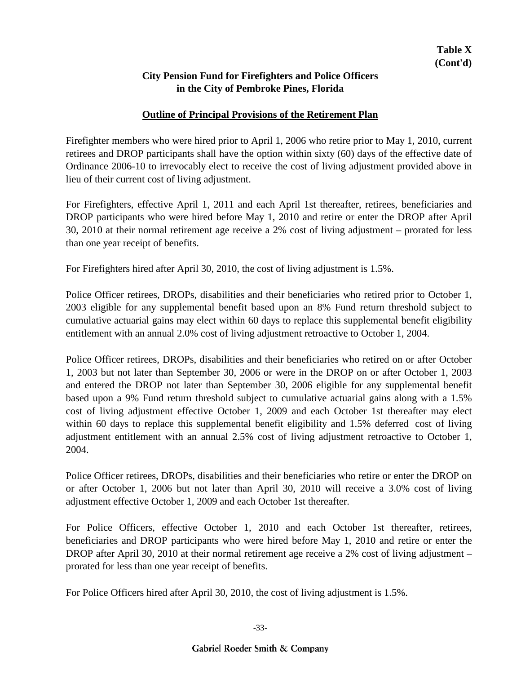### **Outline of Principal Provisions of the Retirement Plan**

Firefighter members who were hired prior to April 1, 2006 who retire prior to May 1, 2010, current retirees and DROP participants shall have the option within sixty (60) days of the effective date of Ordinance 2006-10 to irrevocably elect to receive the cost of living adjustment provided above in lieu of their current cost of living adjustment.

For Firefighters, effective April 1, 2011 and each April 1st thereafter, retirees, beneficiaries and DROP participants who were hired before May 1, 2010 and retire or enter the DROP after April 30, 2010 at their normal retirement age receive a 2% cost of living adjustment – prorated for less than one year receipt of benefits.

For Firefighters hired after April 30, 2010, the cost of living adjustment is 1.5%.

Police Officer retirees, DROPs, disabilities and their beneficiaries who retired prior to October 1, 2003 eligible for any supplemental benefit based upon an 8% Fund return threshold subject to cumulative actuarial gains may elect within 60 days to replace this supplemental benefit eligibility entitlement with an annual 2.0% cost of living adjustment retroactive to October 1, 2004.

Police Officer retirees, DROPs, disabilities and their beneficiaries who retired on or after October 1, 2003 but not later than September 30, 2006 or were in the DROP on or after October 1, 2003 and entered the DROP not later than September 30, 2006 eligible for any supplemental benefit based upon a 9% Fund return threshold subject to cumulative actuarial gains along with a 1.5% cost of living adjustment effective October 1, 2009 and each October 1st thereafter may elect within 60 days to replace this supplemental benefit eligibility and 1.5% deferred cost of living adjustment entitlement with an annual 2.5% cost of living adjustment retroactive to October 1, 2004.

Police Officer retirees, DROPs, disabilities and their beneficiaries who retire or enter the DROP on or after October 1, 2006 but not later than April 30, 2010 will receive a 3.0% cost of living adjustment effective October 1, 2009 and each October 1st thereafter.

For Police Officers, effective October 1, 2010 and each October 1st thereafter, retirees, beneficiaries and DROP participants who were hired before May 1, 2010 and retire or enter the DROP after April 30, 2010 at their normal retirement age receive a 2% cost of living adjustment – prorated for less than one year receipt of benefits.

For Police Officers hired after April 30, 2010, the cost of living adjustment is 1.5%.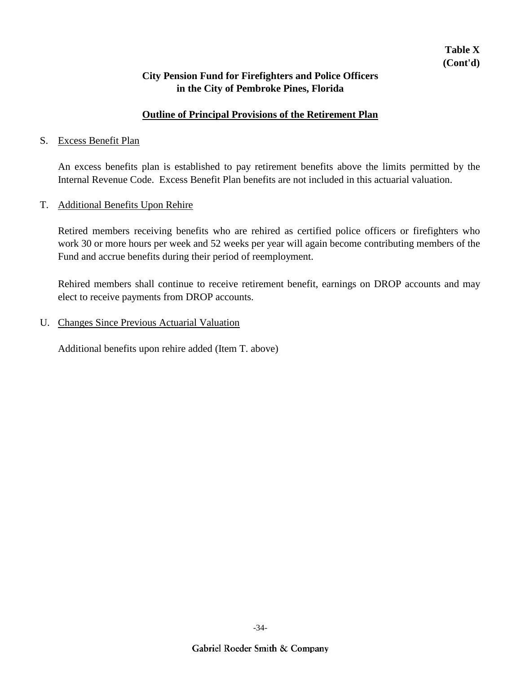### **Outline of Principal Provisions of the Retirement Plan**

#### S. Excess Benefit Plan

An excess benefits plan is established to pay retirement benefits above the limits permitted by the Internal Revenue Code. Excess Benefit Plan benefits are not included in this actuarial valuation.

#### T. Additional Benefits Upon Rehire

Retired members receiving benefits who are rehired as certified police officers or firefighters who work 30 or more hours per week and 52 weeks per year will again become contributing members of the Fund and accrue benefits during their period of reemployment.

Rehired members shall continue to receive retirement benefit, earnings on DROP accounts and may elect to receive payments from DROP accounts.

U. Changes Since Previous Actuarial Valuation

Additional benefits upon rehire added (Item T. above)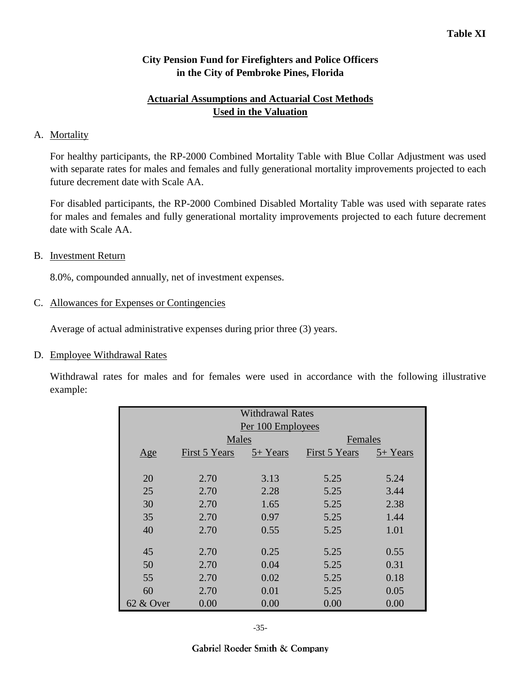## **Actuarial Assumptions and Actuarial Cost Methods Used in the Valuation**

### A. Mortality

For healthy participants, the RP-2000 Combined Mortality Table with Blue Collar Adjustment was used with separate rates for males and females and fully generational mortality improvements projected to each future decrement date with Scale AA.

For disabled participants, the RP-2000 Combined Disabled Mortality Table was used with separate rates for males and females and fully generational mortality improvements projected to each future decrement date with Scale AA.

### B. Investment Return

8.0%, compounded annually, net of investment expenses.

### C. Allowances for Expenses or Contingencies

Average of actual administrative expenses during prior three (3) years.

#### D. Employee Withdrawal Rates

Withdrawal rates for males and for females were used in accordance with the following illustrative example:

| <b>Withdrawal Rates</b><br>Per 100 Employees |               |          |               |          |  |  |  |  |  |
|----------------------------------------------|---------------|----------|---------------|----------|--|--|--|--|--|
|                                              | Males         |          | Females       |          |  |  |  |  |  |
| Age                                          | First 5 Years | 5+ Years | First 5 Years | 5+ Years |  |  |  |  |  |
|                                              |               |          |               |          |  |  |  |  |  |
| 20                                           | 2.70          | 3.13     | 5.25          | 5.24     |  |  |  |  |  |
| 25                                           | 2.70          | 2.28     | 5.25          | 3.44     |  |  |  |  |  |
| 30                                           | 2.70          | 1.65     | 5.25          | 2.38     |  |  |  |  |  |
| 35                                           | 2.70          | 0.97     | 5.25          | 1.44     |  |  |  |  |  |
| 40                                           | 2.70          | 0.55     | 5.25          | 1.01     |  |  |  |  |  |
|                                              |               |          |               |          |  |  |  |  |  |
| 45                                           | 2.70          | 0.25     | 5.25          | 0.55     |  |  |  |  |  |
| 50                                           | 2.70          | 0.04     | 5.25          | 0.31     |  |  |  |  |  |
| 55                                           | 2.70          | 0.02     | 5.25          | 0.18     |  |  |  |  |  |
| 60                                           | 2.70          | 0.01     | 5.25          | 0.05     |  |  |  |  |  |
| 62 & Over                                    | 0.00          | 0.00     | 0.00          | 0.00     |  |  |  |  |  |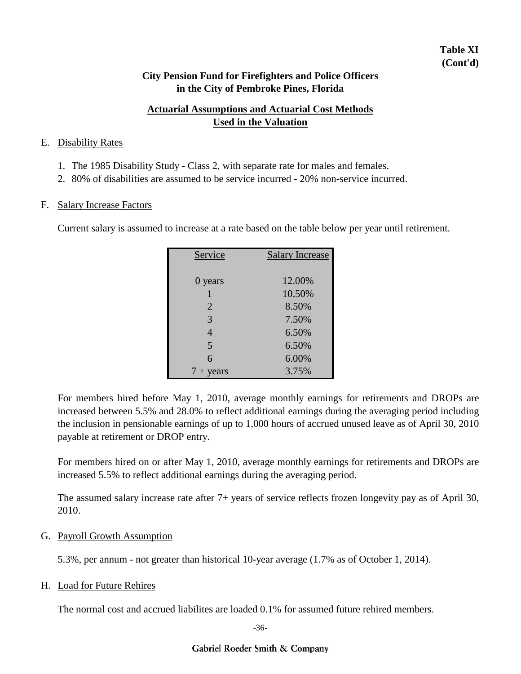## **Table XI (Cont'd)**

### **City Pension Fund for Firefighters and Police Officers in the City of Pembroke Pines, Florida**

## **Actuarial Assumptions and Actuarial Cost Methods Used in the Valuation**

#### E. Disability Rates

- 1. The 1985 Disability Study Class 2, with separate rate for males and females.
- 2. 80% of disabilities are assumed to be service incurred 20% non-service incurred.

#### F. Salary Increase Factors

Current salary is assumed to increase at a rate based on the table below per year until retirement.

| Service            | <b>Salary Increase</b> |
|--------------------|------------------------|
|                    |                        |
| 0 years            | 12.00%                 |
|                    | 10.50%                 |
| $\overline{2}$     | 8.50%                  |
| 3                  | 7.50%                  |
| $\overline{4}$     | 6.50%                  |
| 5                  | 6.50%                  |
| 6                  | 6.00%                  |
| $7 + \text{years}$ | 3.75%                  |

For members hired before May 1, 2010, average monthly earnings for retirements and DROPs are increased between 5.5% and 28.0% to reflect additional earnings during the averaging period including the inclusion in pensionable earnings of up to 1,000 hours of accrued unused leave as of April 30, 2010 payable at retirement or DROP entry.

For members hired on or after May 1, 2010, average monthly earnings for retirements and DROPs are increased 5.5% to reflect additional earnings during the averaging period.

The assumed salary increase rate after 7+ years of service reflects frozen longevity pay as of April 30, 2010.

### G. Payroll Growth Assumption

5.3%, per annum - not greater than historical 10-year average (1.7% as of October 1, 2014).

#### H. Load for Future Rehires

The normal cost and accrued liabilites are loaded 0.1% for assumed future rehired members.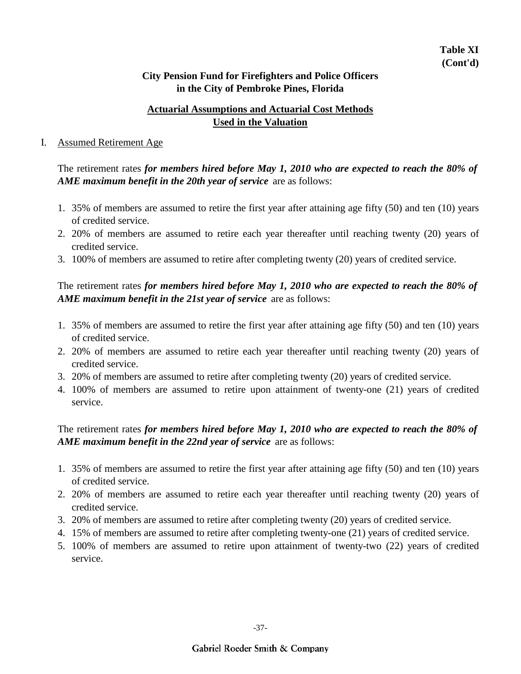## **Actuarial Assumptions and Actuarial Cost Methods Used in the Valuation**

#### I. Assumed Retirement Age

The retirement rates *for members hired before May 1, 2010 who are expected to reach the 80% of AME maximum benefit in the 20th year of service* are as follows:

- 1. 35% of members are assumed to retire the first year after attaining age fifty (50) and ten (10) years of credited service.
- 2. 20% of members are assumed to retire each year thereafter until reaching twenty (20) years of credited service.
- 3. 100% of members are assumed to retire after completing twenty (20) years of credited service.

## The retirement rates *for members hired before May 1, 2010 who are expected to reach the 80% of AME maximum benefit in the 21st year of service* are as follows:

- 1. 35% of members are assumed to retire the first year after attaining age fifty (50) and ten (10) years of credited service.
- 2. 20% of members are assumed to retire each year thereafter until reaching twenty (20) years of credited service.
- 3. 20% of members are assumed to retire after completing twenty (20) years of credited service.
- 4. 100% of members are assumed to retire upon attainment of twenty-one (21) years of credited service.

## The retirement rates *for members hired before May 1, 2010 who are expected to reach the 80% of AME maximum benefit in the 22nd year of service* are as follows:

- 1. 35% of members are assumed to retire the first year after attaining age fifty (50) and ten (10) years of credited service.
- 2. 20% of members are assumed to retire each year thereafter until reaching twenty (20) years of credited service.
- 3. 20% of members are assumed to retire after completing twenty (20) years of credited service.
- 4. 15% of members are assumed to retire after completing twenty-one (21) years of credited service.
- 5. 100% of members are assumed to retire upon attainment of twenty-two (22) years of credited service.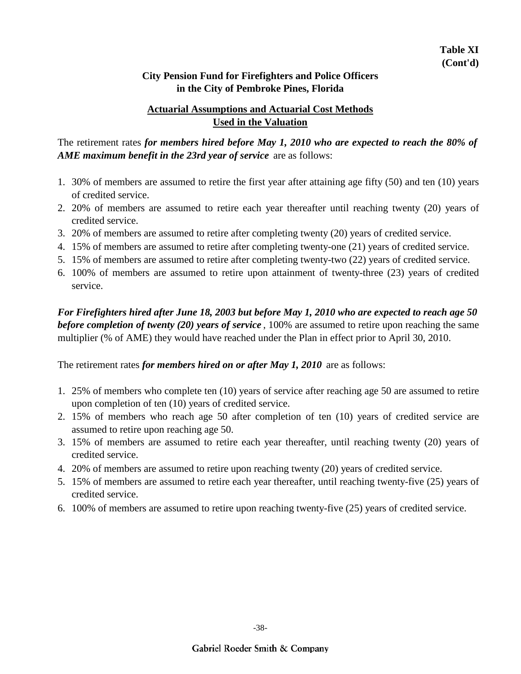## **Actuarial Assumptions and Actuarial Cost Methods Used in the Valuation**

The retirement rates *for members hired before May 1, 2010 who are expected to reach the 80% of AME maximum benefit in the 23rd year of service* are as follows:

- 1. 30% of members are assumed to retire the first year after attaining age fifty (50) and ten (10) years of credited service.
- 2. 20% of members are assumed to retire each year thereafter until reaching twenty (20) years of credited service.
- 3. 20% of members are assumed to retire after completing twenty (20) years of credited service.
- 4. 15% of members are assumed to retire after completing twenty-one (21) years of credited service.
- 5. 15% of members are assumed to retire after completing twenty-two (22) years of credited service.
- 6. 100% of members are assumed to retire upon attainment of twenty-three (23) years of credited service.

*For Firefighters hired after June 18, 2003 but before May 1, 2010 who are expected to reach age 50 before completion of twenty (20) years of service* , 100% are assumed to retire upon reaching the same multiplier (% of AME) they would have reached under the Plan in effect prior to April 30, 2010.

The retirement rates *for members hired on or after May 1, 2010* are as follows:

- 1. 25% of members who complete ten (10) years of service after reaching age 50 are assumed to retire upon completion of ten (10) years of credited service.
- 2. 15% of members who reach age 50 after completion of ten (10) years of credited service are assumed to retire upon reaching age 50.
- 3. 15% of members are assumed to retire each year thereafter, until reaching twenty (20) years of credited service.
- 4. 20% of members are assumed to retire upon reaching twenty (20) years of credited service.
- 5. 15% of members are assumed to retire each year thereafter, until reaching twenty-five (25) years of credited service.
- 6. 100% of members are assumed to retire upon reaching twenty-five (25) years of credited service.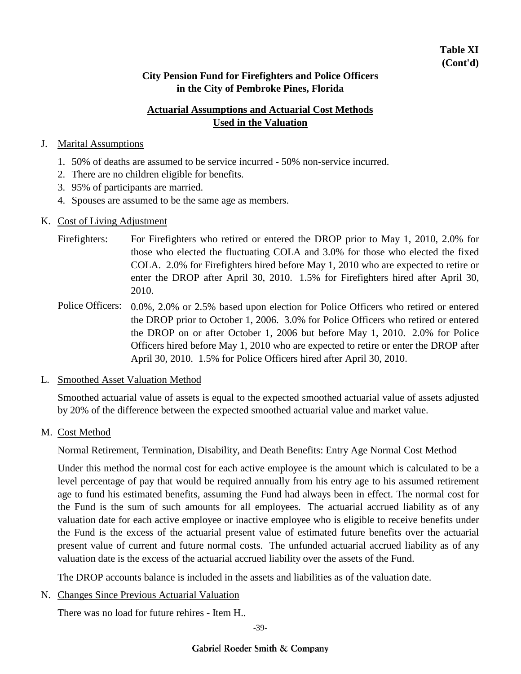## **Actuarial Assumptions and Actuarial Cost Methods Used in the Valuation**

### J. Marital Assumptions

- 1. 50% of deaths are assumed to be service incurred 50% non-service incurred.
- 2. There are no children eligible for benefits.
- 3. 95% of participants are married.
- 4. Spouses are assumed to be the same age as members.

#### K. Cost of Living Adjustment

- For Firefighters who retired or entered the DROP prior to May 1, 2010, 2.0% for those who elected the fluctuating COLA and 3.0% for those who elected the fixed COLA. 2.0% for Firefighters hired before May 1, 2010 who are expected to retire or enter the DROP after April 30, 2010. 1.5% for Firefighters hired after April 30, 2010. Firefighters:
- Police Officers: 0.0%, 2.0% or 2.5% based upon election for Police Officers who retired or entered the DROP prior to October 1, 2006. 3.0% for Police Officers who retired or entered the DROP on or after October 1, 2006 but before May 1, 2010. 2.0% for Police Officers hired before May 1, 2010 who are expected to retire or enter the DROP after April 30, 2010. 1.5% for Police Officers hired after April 30, 2010.

### L. Smoothed Asset Valuation Method

Smoothed actuarial value of assets is equal to the expected smoothed actuarial value of assets adjusted by 20% of the difference between the expected smoothed actuarial value and market value.

### M. Cost Method

Normal Retirement, Termination, Disability, and Death Benefits: Entry Age Normal Cost Method

Under this method the normal cost for each active employee is the amount which is calculated to be a level percentage of pay that would be required annually from his entry age to his assumed retirement age to fund his estimated benefits, assuming the Fund had always been in effect. The normal cost for the Fund is the sum of such amounts for all employees. The actuarial accrued liability as of any valuation date for each active employee or inactive employee who is eligible to receive benefits under the Fund is the excess of the actuarial present value of estimated future benefits over the actuarial present value of current and future normal costs. The unfunded actuarial accrued liability as of any valuation date is the excess of the actuarial accrued liability over the assets of the Fund.

The DROP accounts balance is included in the assets and liabilities as of the valuation date.

### N. Changes Since Previous Actuarial Valuation

There was no load for future rehires - Item H..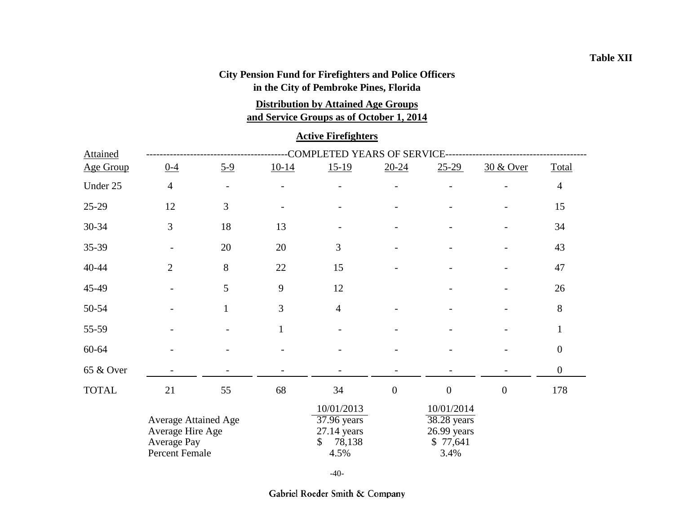# **City Pension Fund for Firefighters and Police Officers**

**in the City of Pembroke Pines, Florida**

**and Service Groups as of October 1, 2014 Distribution by Attained Age Groups**

## **Active Firefighters**

| <b>Attained</b> |                                                                                  |                          |              | COMPLETED YEARS OF SERVICE-                                        |                  |                                                              |                  |                  |
|-----------------|----------------------------------------------------------------------------------|--------------------------|--------------|--------------------------------------------------------------------|------------------|--------------------------------------------------------------|------------------|------------------|
| Age Group       | $0 - 4$                                                                          | $5-9$                    | $10-14$      | $15-19$                                                            | $20 - 24$        | $25-29$                                                      | 30 & Over        | Total            |
| Under 25        | $\overline{4}$                                                                   | $\overline{\phantom{a}}$ |              |                                                                    |                  |                                                              |                  | $\overline{4}$   |
| 25-29           | 12                                                                               | 3                        |              |                                                                    |                  |                                                              |                  | 15               |
| $30 - 34$       | 3                                                                                | 18                       | 13           |                                                                    |                  |                                                              |                  | 34               |
| 35-39           |                                                                                  | 20                       | 20           | $\overline{3}$                                                     |                  |                                                              |                  | 43               |
| $40 - 44$       | $\overline{2}$                                                                   | 8                        | 22           | 15                                                                 |                  |                                                              |                  | 47               |
| 45-49           |                                                                                  | 5                        | 9            | 12                                                                 |                  |                                                              |                  | 26               |
| 50-54           |                                                                                  | $\mathbf{1}$             | 3            | $\overline{4}$                                                     |                  |                                                              |                  | $8\,$            |
| 55-59           |                                                                                  |                          | $\mathbf{1}$ |                                                                    |                  |                                                              |                  | $\mathbf{1}$     |
| 60-64           |                                                                                  |                          |              |                                                                    |                  |                                                              |                  | $\boldsymbol{0}$ |
| 65 & Over       |                                                                                  |                          |              |                                                                    |                  |                                                              |                  | $\boldsymbol{0}$ |
| <b>TOTAL</b>    | 21                                                                               | 55                       | 68           | 34                                                                 | $\boldsymbol{0}$ | $\boldsymbol{0}$                                             | $\boldsymbol{0}$ | 178              |
|                 | <b>Average Attained Age</b><br>Average Hire Age<br>Average Pay<br>Percent Female |                          |              | 10/01/2013<br>37.96 years<br>$27.14$ years<br>78,138<br>\$<br>4.5% |                  | 10/01/2014<br>38.28 years<br>26.99 years<br>\$77,641<br>3.4% |                  |                  |

-40-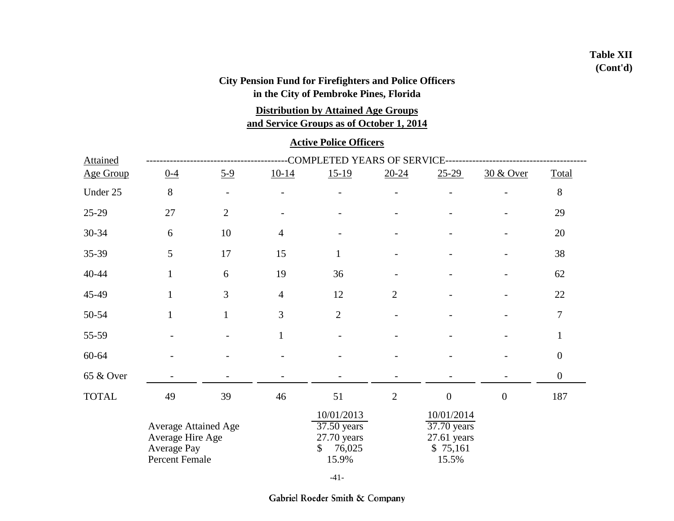## **Table XII (Cont'd)**

## **City Pension Fund for Firefighters and Police Officers in the City of Pembroke Pines, Florida**

**Distribution by Attained Age Groups**

**and Service Groups as of October 1, 2014**

### **Active Police Officers**

| <b>Attained</b>  |              |                                                                                  |                | COMPLETED YEARS OF SERVICE- |                |                                                                 |                      |                  |
|------------------|--------------|----------------------------------------------------------------------------------|----------------|-----------------------------|----------------|-----------------------------------------------------------------|----------------------|------------------|
| <b>Age Group</b> | $0 - 4$      | $5-9$                                                                            | $10-14$        | $15-19$                     | $20 - 24$      | $25-29$                                                         | <u>30 &amp; Over</u> | Total            |
| Under 25         | 8            |                                                                                  |                |                             |                |                                                                 |                      | $8\,$            |
| $25-29$          | 27           | $\mathbf{2}$                                                                     |                |                             |                |                                                                 |                      | 29               |
| 30-34            | 6            | 10                                                                               | $\overline{4}$ |                             |                |                                                                 |                      | 20               |
| 35-39            | 5            | 17                                                                               | 15             | $\mathbf{1}$                |                |                                                                 |                      | 38               |
| 40-44            | $\mathbf{1}$ | 6                                                                                | 19             | 36                          |                |                                                                 |                      | 62               |
| 45-49            | $\mathbf{1}$ | 3                                                                                | $\overline{4}$ | 12                          | $\overline{2}$ |                                                                 |                      | 22               |
| 50-54            | $\mathbf{1}$ | $\mathbf{1}$                                                                     | 3              | $\overline{2}$              |                |                                                                 |                      | $\tau$           |
| 55-59            |              |                                                                                  | $\mathbf{1}$   |                             |                |                                                                 |                      | $\mathbf{1}$     |
| 60-64            |              |                                                                                  |                |                             |                |                                                                 |                      | $\boldsymbol{0}$ |
| 65 & Over        |              |                                                                                  |                |                             |                |                                                                 |                      | $\boldsymbol{0}$ |
| <b>TOTAL</b>     | 49           | 39                                                                               | 46             | 51                          | $\mathbf{2}$   | $\boldsymbol{0}$                                                | $\boldsymbol{0}$     | 187              |
|                  |              | Average Attained Age<br>Average Hire Age<br><b>Average Pay</b><br>Percent Female |                |                             |                | 10/01/2014<br>37.70 years<br>$27.61$ years<br>\$75,161<br>15.5% |                      |                  |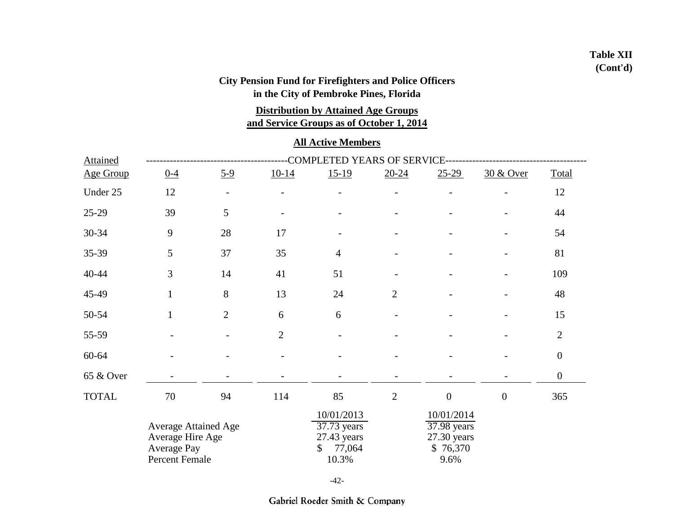## **Table XII (Cont'd)**

## **City Pension Fund for Firefighters and Police Officers in the City of Pembroke Pines, Florida**

**Distribution by Attained Age Groups**

**and Service Groups as of October 1, 2014**

#### **All Active Members**

| <b>Attained</b> |                                                                           |                          |                                                                             | COMPLETED YEARS OF SERVICE- |                |                                                              |                  |                  |
|-----------------|---------------------------------------------------------------------------|--------------------------|-----------------------------------------------------------------------------|-----------------------------|----------------|--------------------------------------------------------------|------------------|------------------|
| Age Group       | $0 - 4$                                                                   | $5-9$                    | $10-14$                                                                     | $15-19$                     | $20 - 24$      | $25 - 29$                                                    | 30 & Over        | Total            |
| Under 25        | 12                                                                        | $\overline{\phantom{a}}$ |                                                                             |                             |                |                                                              |                  | 12               |
| 25-29           | 39                                                                        | 5                        |                                                                             |                             |                |                                                              |                  | 44               |
| 30-34           | 9                                                                         | 28                       | 17                                                                          |                             |                |                                                              |                  | 54               |
| 35-39           | 5                                                                         | 37                       | 35                                                                          | $\overline{4}$              |                |                                                              |                  | 81               |
| $40 - 44$       | 3                                                                         | 14                       | 41                                                                          | 51                          |                |                                                              |                  | 109              |
| 45-49           | $\mathbf{1}$                                                              | 8                        | 13                                                                          | 24                          | $\overline{2}$ |                                                              |                  | 48               |
| 50-54           | $\mathbf{1}$                                                              | $\overline{2}$           | 6                                                                           | 6                           |                |                                                              |                  | 15               |
| 55-59           |                                                                           |                          | $\overline{2}$                                                              |                             |                |                                                              |                  | $\overline{2}$   |
| 60-64           |                                                                           |                          |                                                                             |                             |                |                                                              |                  | $\boldsymbol{0}$ |
| 65 & Over       |                                                                           |                          |                                                                             |                             |                |                                                              |                  | $\boldsymbol{0}$ |
| <b>TOTAL</b>    | $70\,$                                                                    | 94                       | 114                                                                         | 85                          | $\overline{2}$ | $\boldsymbol{0}$                                             | $\boldsymbol{0}$ | 365              |
|                 | Average Attained Age<br>Average Hire Age<br>Average Pay<br>Percent Female |                          | 10/01/2013<br>37.73 years<br>27.43 years<br>77,064<br>$\mathbb{S}$<br>10.3% |                             |                | 10/01/2014<br>37.98 years<br>27.30 years<br>\$76,370<br>9.6% |                  |                  |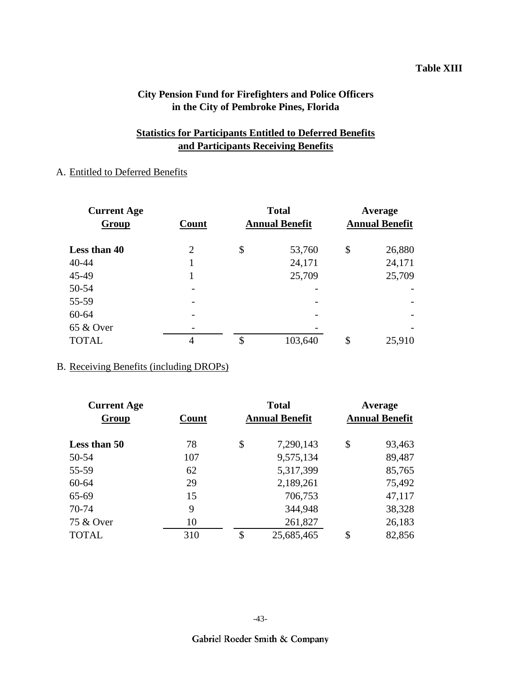#### **Table XIII**

## **City Pension Fund for Firefighters and Police Officers in the City of Pembroke Pines, Florida**

## **Statistics for Participants Entitled to Deferred Benefits and Participants Receiving Benefits**

## A. Entitled to Deferred Benefits

| <b>Current Age</b> |                          | <b>Total</b>          | Average               |        |  |
|--------------------|--------------------------|-----------------------|-----------------------|--------|--|
| Group              | Count                    | <b>Annual Benefit</b> | <b>Annual Benefit</b> |        |  |
| Less than 40       | 2                        | \$<br>53,760          | \$                    | 26,880 |  |
| 40-44              |                          | 24,171                |                       | 24,171 |  |
| 45-49              | 1                        | 25,709                |                       | 25,709 |  |
| 50-54              |                          |                       |                       |        |  |
| 55-59              |                          |                       |                       |        |  |
| 60-64              |                          |                       |                       |        |  |
| 65 & Over          | $\overline{\phantom{0}}$ |                       |                       |        |  |
| <b>TOTAL</b>       | 4                        | \$<br>103,640         | \$                    | 25,910 |  |

### B. Receiving Benefits (including DROPs)

| <b>Current Age</b> |       | <b>Total</b>          | Average               |        |  |
|--------------------|-------|-----------------------|-----------------------|--------|--|
| Group              | Count | <b>Annual Benefit</b> | <b>Annual Benefit</b> |        |  |
| Less than 50       | 78    | \$<br>7,290,143       | \$                    | 93,463 |  |
| 50-54              | 107   | 9,575,134             |                       | 89,487 |  |
| 55-59              | 62    | 5,317,399             |                       | 85,765 |  |
| 60-64              | 29    | 2,189,261             |                       | 75,492 |  |
| 65-69              | 15    | 706,753               |                       | 47,117 |  |
| 70-74              | 9     | 344,948               |                       | 38,328 |  |
| 75 & Over          | 10    | 261,827               |                       | 26,183 |  |
| <b>TOTAL</b>       | 310   | \$<br>25,685,465      | \$                    | 82,856 |  |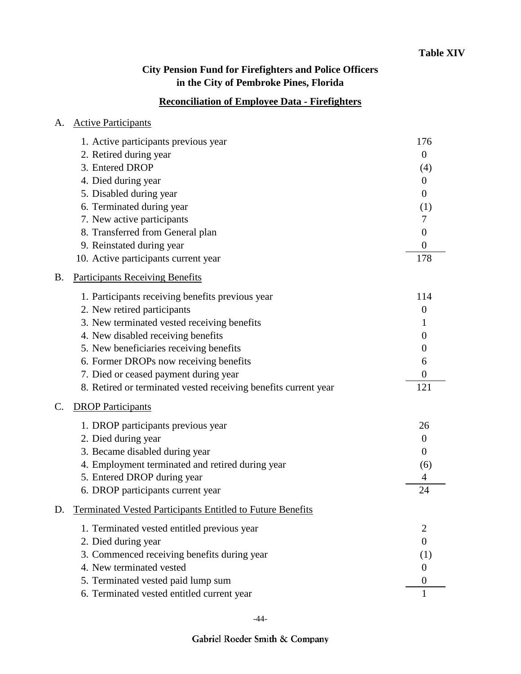# **Reconciliation of Employee Data - Firefighters**

| А. | <b>Active Participants</b>                                        |                  |
|----|-------------------------------------------------------------------|------------------|
|    | 1. Active participants previous year                              | 176              |
|    | 2. Retired during year                                            | $\overline{0}$   |
|    | 3. Entered DROP                                                   | (4)              |
|    | 4. Died during year                                               | $\theta$         |
|    | 5. Disabled during year                                           | $\boldsymbol{0}$ |
|    | 6. Terminated during year                                         | (1)              |
|    | 7. New active participants                                        | 7                |
|    | 8. Transferred from General plan                                  | $\boldsymbol{0}$ |
|    | 9. Reinstated during year                                         | $\overline{0}$   |
|    | 10. Active participants current year                              | 178              |
| B. | <b>Participants Receiving Benefits</b>                            |                  |
|    | 1. Participants receiving benefits previous year                  | 114              |
|    | 2. New retired participants                                       | $\boldsymbol{0}$ |
|    | 3. New terminated vested receiving benefits                       | 1                |
|    | 4. New disabled receiving benefits                                | $\theta$         |
|    | 5. New beneficiaries receiving benefits                           | $\boldsymbol{0}$ |
|    | 6. Former DROPs now receiving benefits                            | 6                |
|    | 7. Died or ceased payment during year                             | $\boldsymbol{0}$ |
|    | 8. Retired or terminated vested receiving benefits current year   | 121              |
| C. | <b>DROP Participants</b>                                          |                  |
|    | 1. DROP participants previous year                                | 26               |
|    | 2. Died during year                                               | $\boldsymbol{0}$ |
|    | 3. Became disabled during year                                    | $\theta$         |
|    | 4. Employment terminated and retired during year                  | (6)              |
|    | 5. Entered DROP during year                                       | 4                |
|    | 6. DROP participants current year                                 | 24               |
| D. | <b>Terminated Vested Participants Entitled to Future Benefits</b> |                  |
|    | 1. Terminated vested entitled previous year                       | $\overline{2}$   |
|    | 2. Died during year                                               | $\overline{0}$   |
|    | 3. Commenced receiving benefits during year                       | (1)              |
|    | 4. New terminated vested                                          | $\theta$         |
|    | 5. Terminated vested paid lump sum                                | $\theta$         |
|    | 6. Terminated vested entitled current year                        | 1                |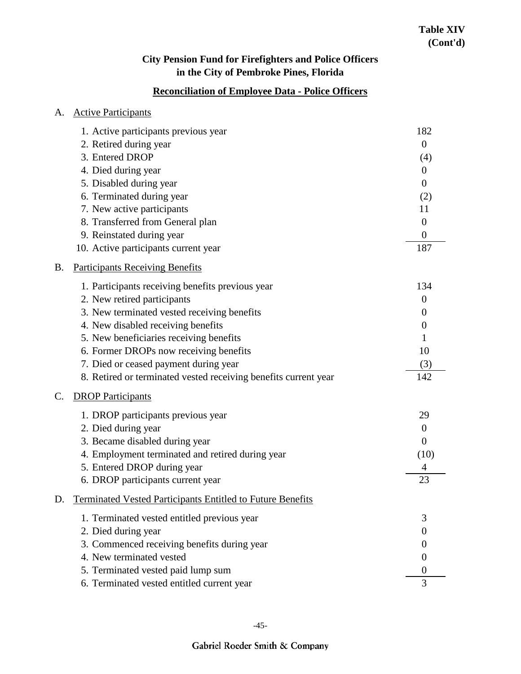## **Reconciliation of Employee Data - Police Officers**

| A.        | <b>Active Participants</b>                                        |                  |
|-----------|-------------------------------------------------------------------|------------------|
|           | 1. Active participants previous year                              | 182              |
|           | 2. Retired during year                                            | $\theta$         |
|           | 3. Entered DROP                                                   | (4)              |
|           | 4. Died during year                                               | $\theta$         |
|           | 5. Disabled during year                                           | $\theta$         |
|           | 6. Terminated during year                                         | (2)              |
|           | 7. New active participants                                        | 11               |
|           | 8. Transferred from General plan                                  | $\overline{0}$   |
|           | 9. Reinstated during year                                         | $\boldsymbol{0}$ |
|           | 10. Active participants current year                              | 187              |
| <b>B.</b> | <b>Participants Receiving Benefits</b>                            |                  |
|           | 1. Participants receiving benefits previous year                  | 134              |
|           | 2. New retired participants                                       | $\overline{0}$   |
|           | 3. New terminated vested receiving benefits                       | $\boldsymbol{0}$ |
|           | 4. New disabled receiving benefits                                | $\overline{0}$   |
|           | 5. New beneficiaries receiving benefits                           |                  |
|           | 6. Former DROPs now receiving benefits                            | 10               |
|           | 7. Died or ceased payment during year                             | (3)              |
|           | 8. Retired or terminated vested receiving benefits current year   | 142              |
| C.        | <b>DROP</b> Participants                                          |                  |
|           | 1. DROP participants previous year                                | 29               |
|           | 2. Died during year                                               | $\overline{0}$   |
|           | 3. Became disabled during year                                    | $\theta$         |
|           | 4. Employment terminated and retired during year                  | (10)             |
|           | 5. Entered DROP during year                                       | 4                |
|           | 6. DROP participants current year                                 | 23               |
| D.        | <b>Terminated Vested Participants Entitled to Future Benefits</b> |                  |
|           | 1. Terminated vested entitled previous year                       | 3                |
|           | 2. Died during year                                               | $\overline{0}$   |
|           | 3. Commenced receiving benefits during year                       | $\theta$         |
|           | 4. New terminated vested                                          | $\theta$         |
|           | 5. Terminated vested paid lump sum                                | $\theta$         |
|           | 6. Terminated vested entitled current year                        | 3                |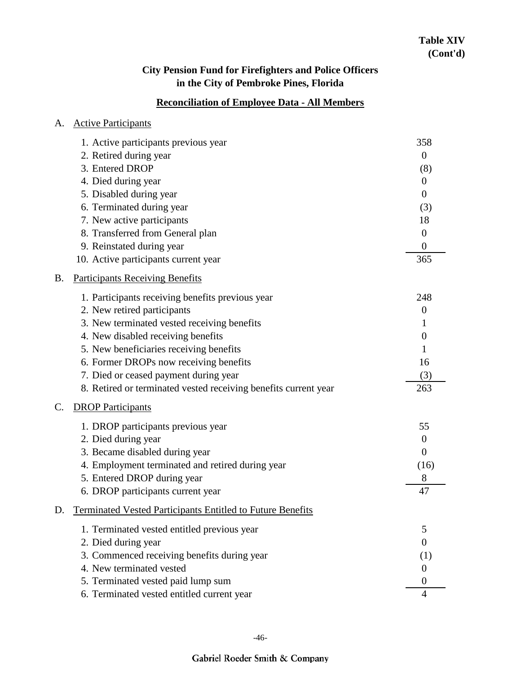## **Reconciliation of Employee Data - All Members**

| A. | <b>Active Participants</b>                                        |                  |
|----|-------------------------------------------------------------------|------------------|
|    | 1. Active participants previous year                              | 358              |
|    | 2. Retired during year                                            | $\theta$         |
|    | 3. Entered DROP                                                   | (8)              |
|    | 4. Died during year                                               | $\boldsymbol{0}$ |
|    | 5. Disabled during year                                           | $\boldsymbol{0}$ |
|    | 6. Terminated during year                                         | (3)              |
|    | 7. New active participants                                        | 18               |
|    | 8. Transferred from General plan                                  | $\overline{0}$   |
|    | 9. Reinstated during year                                         | $\overline{0}$   |
|    | 10. Active participants current year                              | 365              |
| Β. | <b>Participants Receiving Benefits</b>                            |                  |
|    | 1. Participants receiving benefits previous year                  | 248              |
|    | 2. New retired participants                                       | $\overline{0}$   |
|    | 3. New terminated vested receiving benefits                       | 1                |
|    | 4. New disabled receiving benefits                                | $\boldsymbol{0}$ |
|    | 5. New beneficiaries receiving benefits                           |                  |
|    | 6. Former DROPs now receiving benefits                            | 16               |
|    | 7. Died or ceased payment during year                             | (3)              |
|    | 8. Retired or terminated vested receiving benefits current year   | 263              |
| C. | <b>DROP Participants</b>                                          |                  |
|    | 1. DROP participants previous year                                | 55               |
|    | 2. Died during year                                               | $\overline{0}$   |
|    | 3. Became disabled during year                                    | $\theta$         |
|    | 4. Employment terminated and retired during year                  | (16)             |
|    | 5. Entered DROP during year                                       | 8                |
|    | 6. DROP participants current year                                 | 47               |
| D. | <b>Terminated Vested Participants Entitled to Future Benefits</b> |                  |
|    | 1. Terminated vested entitled previous year                       | 5                |
|    | 2. Died during year                                               | $\overline{0}$   |
|    | 3. Commenced receiving benefits during year                       | (1)              |
|    | 4. New terminated vested                                          | $\theta$         |
|    | 5. Terminated vested paid lump sum                                | $\theta$         |
|    | 6. Terminated vested entitled current year                        | 4                |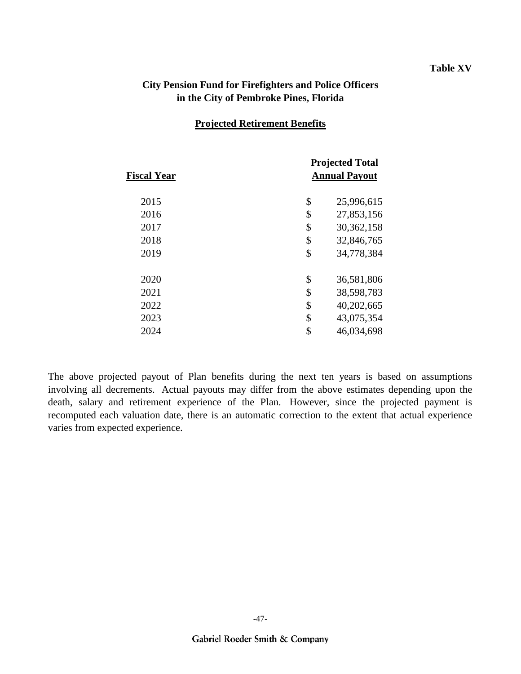#### **Table XV**

### **City Pension Fund for Firefighters and Police Officers in the City of Pembroke Pines, Florida**

#### **Projected Retirement Benefits**

| <b>Fiscal Year</b> | <b>Projected Total</b><br><b>Annual Payout</b> |              |  |  |  |
|--------------------|------------------------------------------------|--------------|--|--|--|
| 2015               | \$                                             | 25,996,615   |  |  |  |
| 2016               | \$                                             | 27,853,156   |  |  |  |
| 2017               | \$                                             | 30, 362, 158 |  |  |  |
| 2018               | \$                                             | 32,846,765   |  |  |  |
| 2019               | \$                                             | 34,778,384   |  |  |  |
| 2020               | \$                                             | 36,581,806   |  |  |  |
| 2021               | \$                                             | 38,598,783   |  |  |  |
| 2022               | \$                                             | 40,202,665   |  |  |  |
| 2023               | \$                                             | 43,075,354   |  |  |  |
| 2024               | \$                                             | 46,034,698   |  |  |  |
|                    |                                                |              |  |  |  |

The above projected payout of Plan benefits during the next ten years is based on assumptions involving all decrements. Actual payouts may differ from the above estimates depending upon the death, salary and retirement experience of the Plan. However, since the projected payment is recomputed each valuation date, there is an automatic correction to the extent that actual experience varies from expected experience.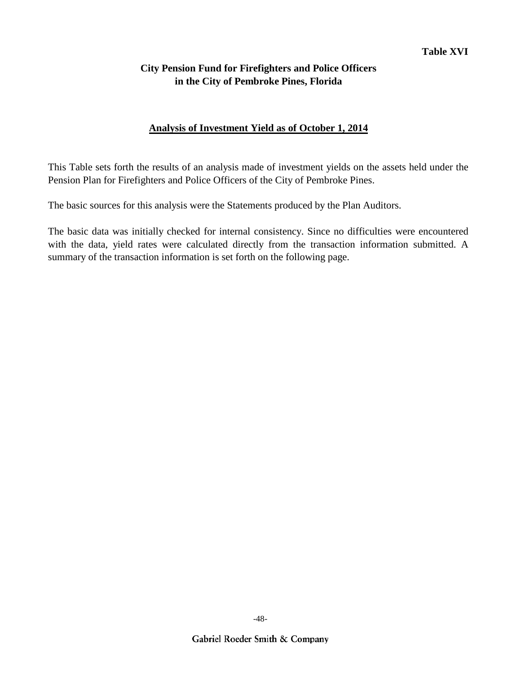### **Analysis of Investment Yield as of October 1, 2014**

This Table sets forth the results of an analysis made of investment yields on the assets held under the Pension Plan for Firefighters and Police Officers of the City of Pembroke Pines.

The basic sources for this analysis were the Statements produced by the Plan Auditors.

The basic data was initially checked for internal consistency. Since no difficulties were encountered with the data, yield rates were calculated directly from the transaction information submitted. A summary of the transaction information is set forth on the following page.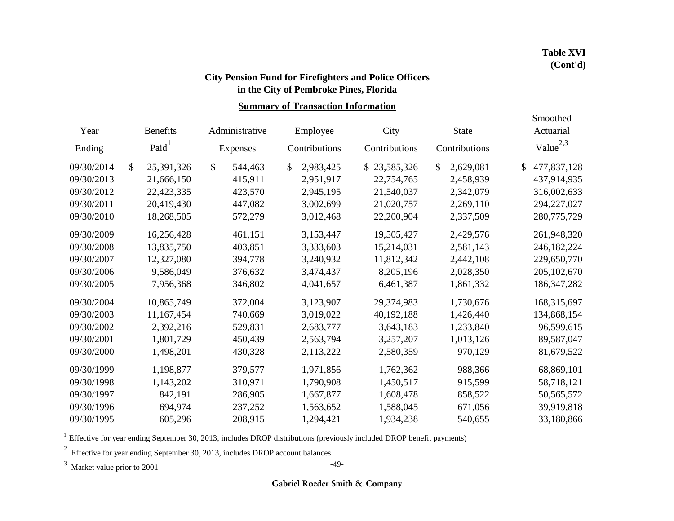### **in the City of Pembroke Pines, Florida City Pension Fund for Firefighters and Police Officers**

**Summary of Transaction Information**

| Year<br>Ending |               | <b>Benefits</b><br>Paid <sup>1</sup> | Administrative<br>Expenses | Employee<br>Contributions |    | City<br>Contributions | <b>State</b><br>Contributions | Smoothed<br>Actuarial<br>Value <sup><math>2,3</math></sup> |
|----------------|---------------|--------------------------------------|----------------------------|---------------------------|----|-----------------------|-------------------------------|------------------------------------------------------------|
| 09/30/2014     | $\mathcal{S}$ | 25,391,326                           | \$<br>544,463              | \$<br>2,983,425           | S. | 23,585,326            | \$<br>2,629,081               | \$<br>477,837,128                                          |
| 09/30/2013     |               | 21,666,150                           | 415,911                    | 2,951,917                 |    | 22,754,765            | 2,458,939                     | 437,914,935                                                |
| 09/30/2012     |               | 22,423,335                           | 423,570                    | 2,945,195                 |    | 21,540,037            | 2,342,079                     | 316,002,633                                                |
| 09/30/2011     |               | 20,419,430                           | 447,082                    | 3,002,699                 |    | 21,020,757            | 2,269,110                     | 294,227,027                                                |
| 09/30/2010     |               | 18,268,505                           | 572,279                    | 3,012,468                 |    | 22,200,904            | 2,337,509                     | 280,775,729                                                |
| 09/30/2009     |               | 16,256,428                           | 461,151                    | 3,153,447                 |    | 19,505,427            | 2,429,576                     | 261,948,320                                                |
| 09/30/2008     |               | 13,835,750                           | 403,851                    | 3,333,603                 |    | 15,214,031            | 2,581,143                     | 246,182,224                                                |
| 09/30/2007     |               | 12,327,080                           | 394,778                    | 3,240,932                 |    | 11,812,342            | 2,442,108                     | 229,650,770                                                |
| 09/30/2006     |               | 9,586,049                            | 376,632                    | 3,474,437                 |    | 8,205,196             | 2,028,350                     | 205, 102, 670                                              |
| 09/30/2005     |               | 7,956,368                            | 346,802                    | 4,041,657                 |    | 6,461,387             | 1,861,332                     | 186, 347, 282                                              |
| 09/30/2004     |               | 10,865,749                           | 372,004                    | 3,123,907                 |    | 29,374,983            | 1,730,676                     | 168,315,697                                                |
| 09/30/2003     |               | 11,167,454                           | 740,669                    | 3,019,022                 |    | 40,192,188            | 1,426,440                     | 134,868,154                                                |
| 09/30/2002     |               | 2,392,216                            | 529,831                    | 2,683,777                 |    | 3,643,183             | 1,233,840                     | 96,599,615                                                 |
| 09/30/2001     |               | 1,801,729                            | 450,439                    | 2,563,794                 |    | 3,257,207             | 1,013,126                     | 89,587,047                                                 |
| 09/30/2000     |               | 1,498,201                            | 430,328                    | 2,113,222                 |    | 2,580,359             | 970,129                       | 81,679,522                                                 |
| 09/30/1999     |               | 1,198,877                            | 379,577                    | 1,971,856                 |    | 1,762,362             | 988,366                       | 68,869,101                                                 |
| 09/30/1998     |               | 1,143,202                            | 310,971                    | 1,790,908                 |    | 1,450,517             | 915,599                       | 58,718,121                                                 |
| 09/30/1997     |               | 842,191                              | 286,905                    | 1,667,877                 |    | 1,608,478             | 858,522                       | 50, 565, 572                                               |
| 09/30/1996     |               | 694,974                              | 237,252                    | 1,563,652                 |    | 1,588,045             | 671,056                       | 39,919,818                                                 |
| 09/30/1995     |               | 605,296                              | 208,915                    | 1,294,421                 |    | 1,934,238             | 540,655                       | 33,180,866                                                 |

 $1$  Effective for year ending September 30, 2013, includes DROP distributions (previously included DROP benefit payments)

<sup>2</sup> Effective for year ending September 30, 2013, includes DROP account balances

<sup>3</sup> Market value prior to 2001

-49-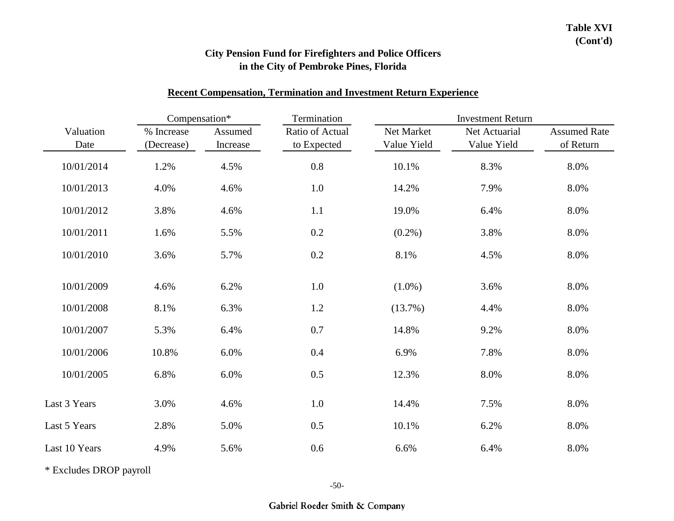#### **Recent Compensation, Termination and Investment Return Experience**

| Compensation*     |                          |                     | Termination                    | <b>Investment Return</b>  |                              |                                  |  |  |
|-------------------|--------------------------|---------------------|--------------------------------|---------------------------|------------------------------|----------------------------------|--|--|
| Valuation<br>Date | % Increase<br>(Decrease) | Assumed<br>Increase | Ratio of Actual<br>to Expected | Net Market<br>Value Yield | Net Actuarial<br>Value Yield | <b>Assumed Rate</b><br>of Return |  |  |
| 10/01/2014        | 1.2%                     | 4.5%                | 0.8                            | 10.1%                     | 8.3%                         | 8.0%                             |  |  |
| 10/01/2013        | 4.0%                     | 4.6%                | 1.0                            | 14.2%                     | 7.9%                         | 8.0%                             |  |  |
| 10/01/2012        | 3.8%                     | 4.6%                | 1.1                            | 19.0%                     | 6.4%                         | 8.0%                             |  |  |
| 10/01/2011        | 1.6%                     | 5.5%                | 0.2                            | $(0.2\%)$                 | 3.8%                         | 8.0%                             |  |  |
| 10/01/2010        | 3.6%                     | 5.7%                | 0.2                            | 8.1%                      | 4.5%                         | 8.0%                             |  |  |
| 10/01/2009        | 4.6%                     | 6.2%                | 1.0                            | $(1.0\%)$                 | 3.6%                         | 8.0%                             |  |  |
| 10/01/2008        | 8.1%                     | 6.3%                | 1.2                            | (13.7%)                   | 4.4%                         | 8.0%                             |  |  |
| 10/01/2007        | 5.3%                     | 6.4%                | $0.7\,$                        | 14.8%                     | 9.2%                         | 8.0%                             |  |  |
| 10/01/2006        | 10.8%                    | 6.0%                | 0.4                            | 6.9%                      | 7.8%                         | 8.0%                             |  |  |
| 10/01/2005        | 6.8%                     | 6.0%                | 0.5                            | 12.3%                     | 8.0%                         | 8.0%                             |  |  |
| Last 3 Years      | 3.0%                     | 4.6%                | 1.0                            | 14.4%                     | 7.5%                         | 8.0%                             |  |  |
| Last 5 Years      | 2.8%                     | 5.0%                | 0.5                            | 10.1%                     | 6.2%                         | 8.0%                             |  |  |
| Last 10 Years     | 4.9%                     | 5.6%                | 0.6                            | 6.6%                      | 6.4%                         | 8.0%                             |  |  |

\* Excludes DROP payroll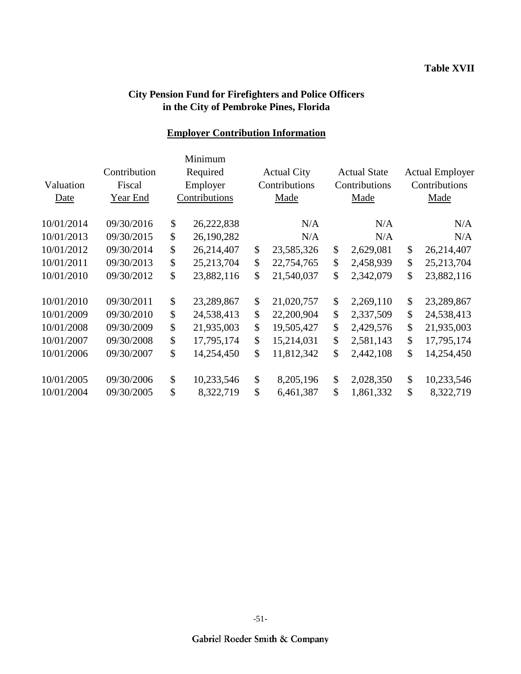## **Employer Contribution Information**

|            |              | Minimum            |                    |                     |                        |
|------------|--------------|--------------------|--------------------|---------------------|------------------------|
|            | Contribution | Required           | <b>Actual City</b> | <b>Actual State</b> | <b>Actual Employer</b> |
| Valuation  | Fiscal       | Employer           | Contributions      | Contributions       | Contributions          |
| Date       | Year End     | Contributions      | Made               | Made                | Made                   |
| 10/01/2014 | 09/30/2016   | \$<br>26,222,838   | N/A                | N/A                 | N/A                    |
| 10/01/2013 | 09/30/2015   | \$<br>26,190,282   | N/A                | N/A                 | N/A                    |
| 10/01/2012 | 09/30/2014   | \$<br>26,214,407   | \$<br>23,585,326   | \$<br>2,629,081     | \$<br>26,214,407       |
| 10/01/2011 | 09/30/2013   | \$<br>25, 213, 704 | \$<br>22,754,765   | \$<br>2,458,939     | \$<br>25, 213, 704     |
| 10/01/2010 | 09/30/2012   | \$<br>23,882,116   | \$<br>21,540,037   | \$<br>2,342,079     | \$<br>23,882,116       |
| 10/01/2010 | 09/30/2011   | \$<br>23,289,867   | \$<br>21,020,757   | \$<br>2,269,110     | \$<br>23,289,867       |
| 10/01/2009 | 09/30/2010   | \$<br>24,538,413   | \$<br>22,200,904   | \$<br>2,337,509     | \$<br>24,538,413       |
| 10/01/2008 | 09/30/2009   | \$<br>21,935,003   | \$<br>19,505,427   | \$<br>2,429,576     | \$<br>21,935,003       |
| 10/01/2007 | 09/30/2008   | \$<br>17,795,174   | \$<br>15,214,031   | \$<br>2,581,143     | \$<br>17,795,174       |
| 10/01/2006 | 09/30/2007   | \$<br>14,254,450   | \$<br>11,812,342   | \$<br>2,442,108     | \$<br>14,254,450       |
| 10/01/2005 | 09/30/2006   | \$<br>10,233,546   | \$<br>8,205,196    | \$<br>2,028,350     | \$<br>10,233,546       |
| 10/01/2004 | 09/30/2005   | \$<br>8,322,719    | \$<br>6,461,387    | \$<br>1,861,332     | \$<br>8,322,719        |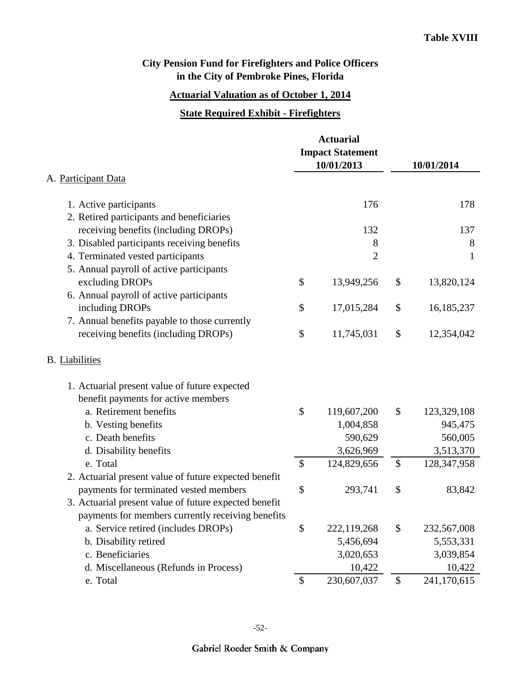## **Actuarial Valuation as of October 1, 2014**

#### **State Required Exhibit - Firefighters**

|                                                       |               | <b>Actuarial</b><br><b>Impact Statement</b><br>10/01/2013 | 10/01/2014 |               |  |
|-------------------------------------------------------|---------------|-----------------------------------------------------------|------------|---------------|--|
| A. Participant Data                                   |               |                                                           |            |               |  |
| 1. Active participants                                |               | 176                                                       |            | 178           |  |
| 2. Retired participants and beneficiaries             |               |                                                           |            |               |  |
| receiving benefits (including DROPs)                  |               | 132                                                       |            | 137           |  |
| 3. Disabled participants receiving benefits           |               | 8                                                         |            | 8             |  |
| 4. Terminated vested participants                     |               | $\overline{2}$                                            |            | $\mathbf{1}$  |  |
| 5. Annual payroll of active participants              |               |                                                           |            |               |  |
| excluding DROPs                                       | \$            | 13,949,256                                                | \$         | 13,820,124    |  |
| 6. Annual payroll of active participants              |               |                                                           |            |               |  |
| including DROPs                                       | \$            | 17,015,284                                                | \$         | 16,185,237    |  |
| 7. Annual benefits payable to those currently         |               |                                                           |            |               |  |
| receiving benefits (including DROPs)                  | \$            | 11,745,031                                                | \$         | 12,354,042    |  |
| <b>B.</b> Liabilities                                 |               |                                                           |            |               |  |
| 1. Actuarial present value of future expected         |               |                                                           |            |               |  |
| benefit payments for active members                   |               |                                                           |            |               |  |
| a. Retirement benefits                                | \$            | 119,607,200                                               | \$         | 123,329,108   |  |
| b. Vesting benefits                                   |               | 1,004,858                                                 |            | 945,475       |  |
| c. Death benefits                                     |               | 590,629                                                   |            | 560,005       |  |
| d. Disability benefits                                |               | 3,626,969                                                 |            | 3,513,370     |  |
| e. Total                                              | \$            | 124,829,656                                               | \$         | 128, 347, 958 |  |
| 2. Actuarial present value of future expected benefit |               |                                                           |            |               |  |
| payments for terminated vested members                | \$            | 293,741                                                   | \$         | 83,842        |  |
| 3. Actuarial present value of future expected benefit |               |                                                           |            |               |  |
| payments for members currently receiving benefits     |               |                                                           |            |               |  |
| a. Service retired (includes DROPs)                   | \$            | 222,119,268                                               | \$         | 232,567,008   |  |
| b. Disability retired                                 |               | 5,456,694                                                 |            | 5,553,331     |  |
| c. Beneficiaries                                      |               | 3,020,653                                                 |            | 3,039,854     |  |
| d. Miscellaneous (Refunds in Process)                 |               | 10,422                                                    |            | 10,422        |  |
| e. Total                                              | $\mathcal{S}$ | 230,607,037                                               | \$         | 241,170,615   |  |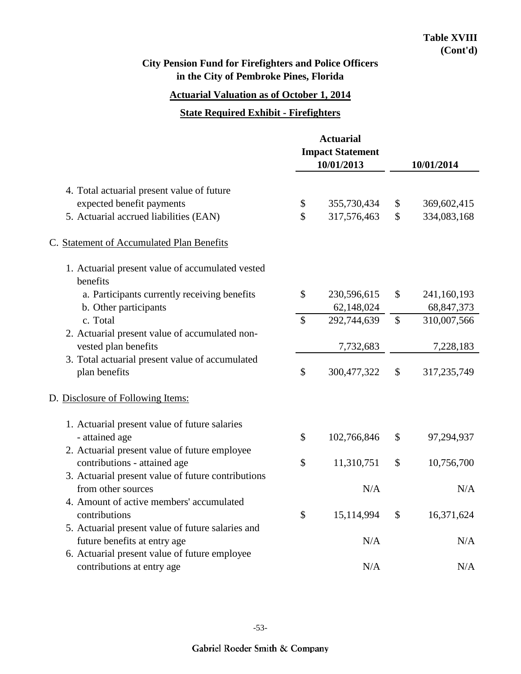## **Actuarial Valuation as of October 1, 2014**

#### **State Required Exhibit - Firefighters**

|                                                              | <b>Actuarial</b><br><b>Impact Statement</b><br>10/01/2013 |             | 10/01/2014    |              |  |
|--------------------------------------------------------------|-----------------------------------------------------------|-------------|---------------|--------------|--|
| 4. Total actuarial present value of future                   |                                                           |             |               |              |  |
| expected benefit payments                                    | \$                                                        | 355,730,434 | \$            | 369,602,415  |  |
| 5. Actuarial accrued liabilities (EAN)                       | \$                                                        | 317,576,463 | $\mathbb{S}$  | 334,083,168  |  |
| C. Statement of Accumulated Plan Benefits                    |                                                           |             |               |              |  |
| 1. Actuarial present value of accumulated vested<br>benefits |                                                           |             |               |              |  |
| a. Participants currently receiving benefits                 | \$                                                        | 230,596,615 | \$            | 241,160,193  |  |
| b. Other participants                                        |                                                           | 62,148,024  |               | 68, 847, 373 |  |
| c. Total                                                     | $\mathbb{S}$                                              | 292,744,639 | $\mathcal{S}$ | 310,007,566  |  |
| 2. Actuarial present value of accumulated non-               |                                                           |             |               |              |  |
| vested plan benefits                                         |                                                           | 7,732,683   |               | 7,228,183    |  |
| 3. Total actuarial present value of accumulated              |                                                           |             |               |              |  |
| plan benefits                                                | \$                                                        | 300,477,322 | \$            | 317,235,749  |  |
| D. Disclosure of Following Items:                            |                                                           |             |               |              |  |
| 1. Actuarial present value of future salaries                |                                                           |             |               |              |  |
| - attained age                                               | \$                                                        | 102,766,846 | \$            | 97,294,937   |  |
| 2. Actuarial present value of future employee                |                                                           |             |               |              |  |
| contributions - attained age                                 | \$                                                        | 11,310,751  | \$            | 10,756,700   |  |
| 3. Actuarial present value of future contributions           |                                                           |             |               |              |  |
| from other sources                                           |                                                           | N/A         |               | N/A          |  |
| 4. Amount of active members' accumulated                     |                                                           |             |               |              |  |
| contributions                                                | \$                                                        | 15,114,994  | \$            | 16,371,624   |  |
| 5. Actuarial present value of future salaries and            |                                                           |             |               |              |  |
| future benefits at entry age                                 |                                                           | N/A         |               | N/A          |  |
| 6. Actuarial present value of future employee                |                                                           |             |               |              |  |
| contributions at entry age                                   |                                                           | N/A         |               | N/A          |  |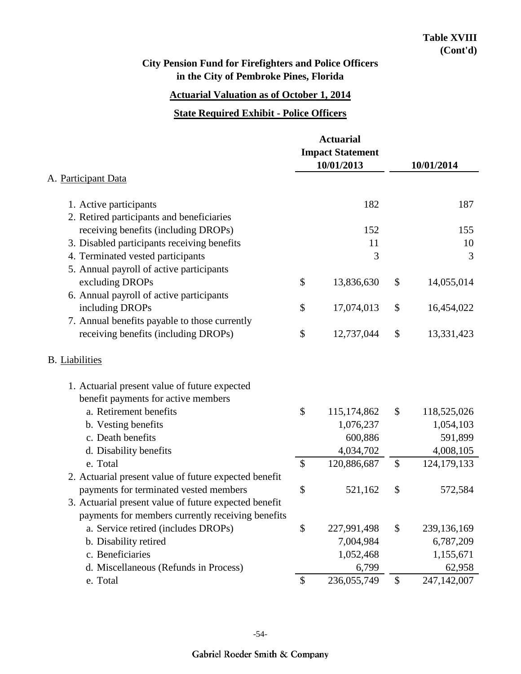## **Actuarial Valuation as of October 1, 2014**

#### **State Required Exhibit - Police Officers**

|                                                       |                           | <b>Actuarial</b><br><b>Impact Statement</b><br>10/01/2013 | 10/01/2014                |               |  |
|-------------------------------------------------------|---------------------------|-----------------------------------------------------------|---------------------------|---------------|--|
| A. Participant Data                                   |                           |                                                           |                           |               |  |
| 1. Active participants                                |                           | 182                                                       |                           | 187           |  |
| 2. Retired participants and beneficiaries             |                           |                                                           |                           |               |  |
| receiving benefits (including DROPs)                  |                           | 152                                                       |                           | 155           |  |
| 3. Disabled participants receiving benefits           |                           | 11                                                        |                           | 10            |  |
| 4. Terminated vested participants                     |                           | 3                                                         |                           | 3             |  |
| 5. Annual payroll of active participants              |                           |                                                           |                           |               |  |
| excluding DROPs                                       | \$                        | 13,836,630                                                | \$                        | 14,055,014    |  |
| 6. Annual payroll of active participants              |                           |                                                           |                           |               |  |
| including DROPs                                       | \$                        | 17,074,013                                                | \$                        | 16,454,022    |  |
| 7. Annual benefits payable to those currently         |                           |                                                           |                           |               |  |
| receiving benefits (including DROPs)                  | \$                        | 12,737,044                                                | \$                        | 13,331,423    |  |
| <b>B.</b> Liabilities                                 |                           |                                                           |                           |               |  |
| 1. Actuarial present value of future expected         |                           |                                                           |                           |               |  |
| benefit payments for active members                   |                           |                                                           |                           |               |  |
| a. Retirement benefits                                | \$                        | 115,174,862                                               | \$                        | 118,525,026   |  |
| b. Vesting benefits                                   |                           | 1,076,237                                                 |                           | 1,054,103     |  |
| c. Death benefits                                     |                           | 600,886                                                   |                           | 591,899       |  |
| d. Disability benefits                                |                           | 4,034,702                                                 |                           | 4,008,105     |  |
| e. Total                                              | $\boldsymbol{\mathsf{S}}$ | 120,886,687                                               | $\boldsymbol{\mathsf{S}}$ | 124, 179, 133 |  |
| 2. Actuarial present value of future expected benefit |                           |                                                           |                           |               |  |
| payments for terminated vested members                | \$                        | 521,162                                                   | \$                        | 572,584       |  |
| 3. Actuarial present value of future expected benefit |                           |                                                           |                           |               |  |
| payments for members currently receiving benefits     |                           |                                                           |                           |               |  |
| a. Service retired (includes DROPs)                   | \$                        | 227,991,498                                               | \$                        | 239,136,169   |  |
| b. Disability retired                                 |                           | 7,004,984                                                 |                           | 6,787,209     |  |
| c. Beneficiaries                                      |                           | 1,052,468                                                 |                           | 1,155,671     |  |
| d. Miscellaneous (Refunds in Process)                 |                           | 6,799                                                     |                           | 62,958        |  |
| e. Total                                              | $\boldsymbol{\mathsf{S}}$ | 236,055,749                                               | \$                        | 247,142,007   |  |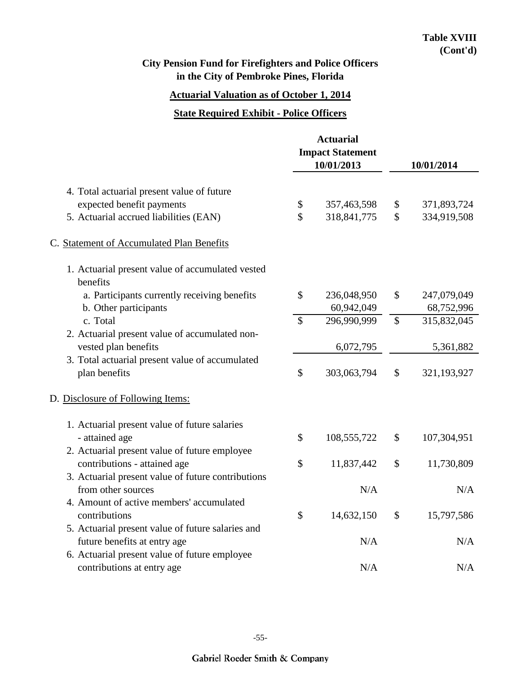## **Actuarial Valuation as of October 1, 2014**

#### **State Required Exhibit - Police Officers**

|                                                              |               | <b>Actuarial</b><br><b>Impact Statement</b><br>10/01/2013 | 10/01/2014    |             |  |
|--------------------------------------------------------------|---------------|-----------------------------------------------------------|---------------|-------------|--|
| 4. Total actuarial present value of future                   |               |                                                           |               |             |  |
| expected benefit payments                                    | \$            | 357,463,598                                               | \$            | 371,893,724 |  |
| 5. Actuarial accrued liabilities (EAN)                       | $\mathbb{S}$  | 318,841,775                                               | $\mathcal{S}$ | 334,919,508 |  |
| C. Statement of Accumulated Plan Benefits                    |               |                                                           |               |             |  |
| 1. Actuarial present value of accumulated vested<br>benefits |               |                                                           |               |             |  |
| a. Participants currently receiving benefits                 | $\mathcal{S}$ | 236,048,950                                               | $\mathcal{S}$ | 247,079,049 |  |
| b. Other participants                                        |               | 60,942,049                                                |               | 68,752,996  |  |
| c. Total                                                     | $\mathcal{S}$ | 296,990,999                                               | $\mathcal{S}$ | 315,832,045 |  |
| 2. Actuarial present value of accumulated non-               |               |                                                           |               |             |  |
| vested plan benefits                                         |               | 6,072,795                                                 |               | 5,361,882   |  |
| 3. Total actuarial present value of accumulated              |               |                                                           |               |             |  |
| plan benefits                                                | \$            | 303,063,794                                               | \$            | 321,193,927 |  |
| D. Disclosure of Following Items:                            |               |                                                           |               |             |  |
| 1. Actuarial present value of future salaries                |               |                                                           |               |             |  |
| - attained age                                               | \$            | 108,555,722                                               | \$            | 107,304,951 |  |
| 2. Actuarial present value of future employee                |               |                                                           |               |             |  |
| contributions - attained age                                 | \$            | 11,837,442                                                | \$            | 11,730,809  |  |
| 3. Actuarial present value of future contributions           |               |                                                           |               |             |  |
| from other sources                                           |               | N/A                                                       |               | N/A         |  |
| 4. Amount of active members' accumulated                     |               |                                                           |               |             |  |
| contributions                                                | \$            | 14,632,150                                                | \$            | 15,797,586  |  |
| 5. Actuarial present value of future salaries and            |               |                                                           |               |             |  |
| future benefits at entry age                                 |               | N/A                                                       |               | N/A         |  |
| 6. Actuarial present value of future employee                |               |                                                           |               |             |  |
| contributions at entry age                                   |               | N/A                                                       |               | N/A         |  |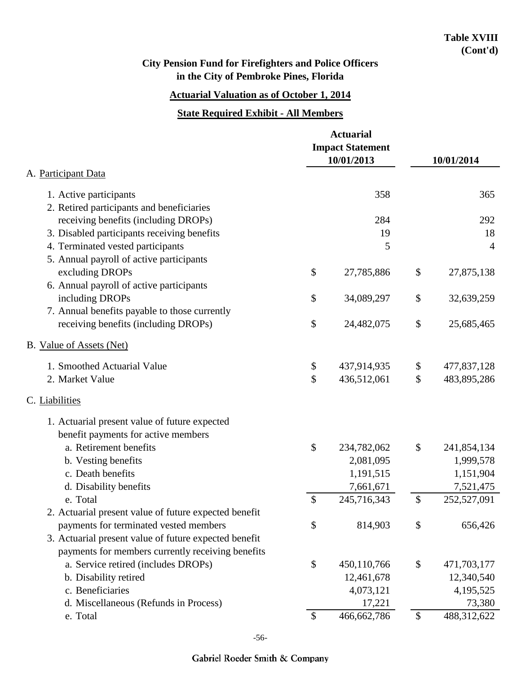# **Actuarial Valuation as of October 1, 2014**

#### **State Required Exhibit - All Members**

| A. Participant Data                                                              |               | <b>Actuarial</b><br><b>Impact Statement</b><br>10/01/2013 | 10/01/2014 |                |  |
|----------------------------------------------------------------------------------|---------------|-----------------------------------------------------------|------------|----------------|--|
|                                                                                  |               |                                                           |            |                |  |
| 1. Active participants                                                           |               | 358                                                       |            | 365            |  |
| 2. Retired participants and beneficiaries                                        |               | 284                                                       |            | 292            |  |
| receiving benefits (including DROPs)                                             |               | 19                                                        |            | 18             |  |
| 3. Disabled participants receiving benefits<br>4. Terminated vested participants |               | 5                                                         |            | $\overline{4}$ |  |
| 5. Annual payroll of active participants                                         |               |                                                           |            |                |  |
| excluding DROPs                                                                  | \$            | 27,785,886                                                | \$         | 27,875,138     |  |
| 6. Annual payroll of active participants                                         |               |                                                           |            |                |  |
| including DROPs                                                                  | \$            | 34,089,297                                                | \$         | 32,639,259     |  |
| 7. Annual benefits payable to those currently                                    |               |                                                           |            |                |  |
| receiving benefits (including DROPs)                                             | \$            | 24,482,075                                                | \$         | 25,685,465     |  |
| B. Value of Assets (Net)                                                         |               |                                                           |            |                |  |
| 1. Smoothed Actuarial Value                                                      | \$            | 437,914,935                                               | \$         | 477,837,128    |  |
| 2. Market Value                                                                  | \$            | 436,512,061                                               | \$         | 483,895,286    |  |
| C. Liabilities                                                                   |               |                                                           |            |                |  |
| 1. Actuarial present value of future expected                                    |               |                                                           |            |                |  |
| benefit payments for active members                                              |               |                                                           |            |                |  |
| a. Retirement benefits                                                           | \$            | 234,782,062                                               | \$         | 241,854,134    |  |
| b. Vesting benefits                                                              |               | 2,081,095                                                 |            | 1,999,578      |  |
| c. Death benefits                                                                |               | 1,191,515                                                 |            | 1,151,904      |  |
| d. Disability benefits                                                           |               | 7,661,671                                                 |            | 7,521,475      |  |
| e. Total                                                                         | $\mathcal{S}$ | 245,716,343                                               | \$         | 252,527,091    |  |
| 2. Actuarial present value of future expected benefit                            |               |                                                           |            |                |  |
| payments for terminated vested members                                           | \$            | 814,903                                                   | \$         | 656,426        |  |
| 3. Actuarial present value of future expected benefit                            |               |                                                           |            |                |  |
| payments for members currently receiving benefits                                |               |                                                           |            |                |  |
| a. Service retired (includes DROPs)                                              | \$            | 450,110,766                                               | \$         | 471,703,177    |  |
| b. Disability retired                                                            |               | 12,461,678                                                |            | 12,340,540     |  |
| c. Beneficiaries                                                                 |               | 4,073,121                                                 |            | 4,195,525      |  |
| d. Miscellaneous (Refunds in Process)                                            |               | 17,221                                                    |            | 73,380         |  |
| e. Total                                                                         | \$            | 466,662,786                                               | \$         | 488,312,622    |  |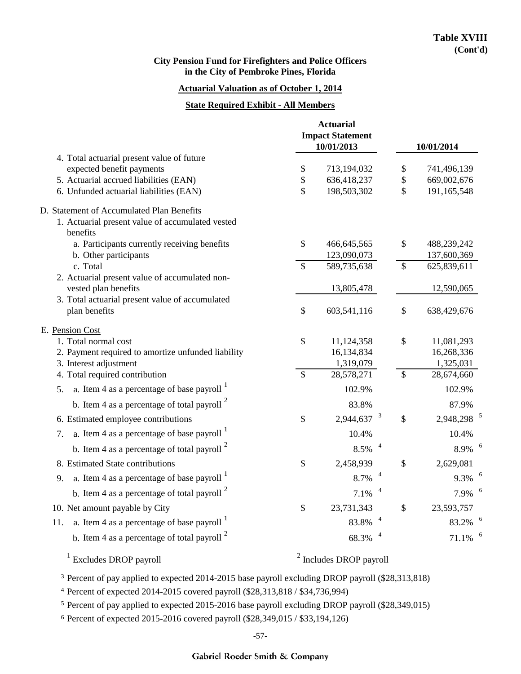#### **Actuarial Valuation as of October 1, 2014**

#### **State Required Exhibit - All Members**

|                                                                         |                           | <b>Actuarial</b><br><b>Impact Statement</b> |                           |                        |
|-------------------------------------------------------------------------|---------------------------|---------------------------------------------|---------------------------|------------------------|
|                                                                         |                           | 10/01/2013                                  |                           | 10/01/2014             |
| 4. Total actuarial present value of future<br>expected benefit payments | \$                        | 713,194,032                                 | \$                        | 741,496,139            |
| 5. Actuarial accrued liabilities (EAN)                                  | $\mathbb{S}$              | 636,418,237                                 | $\boldsymbol{\$}$         | 669,002,676            |
| 6. Unfunded actuarial liabilities (EAN)                                 | \$                        | 198,503,302                                 | \$                        | 191,165,548            |
| D. Statement of Accumulated Plan Benefits                               |                           |                                             |                           |                        |
| 1. Actuarial present value of accumulated vested<br>benefits            |                           |                                             |                           |                        |
| a. Participants currently receiving benefits                            | $\boldsymbol{\mathsf{S}}$ | 466, 645, 565                               | \$                        | 488,239,242            |
| b. Other participants                                                   |                           | 123,090,073                                 |                           | 137,600,369            |
| c. Total                                                                | $\overline{\mathcal{S}}$  | 589,735,638                                 | $\overline{\mathcal{S}}$  | 625,839,611            |
| 2. Actuarial present value of accumulated non-<br>vested plan benefits  |                           | 13,805,478                                  |                           | 12,590,065             |
| 3. Total actuarial present value of accumulated                         |                           |                                             |                           |                        |
| plan benefits                                                           | $\mathcal{S}$             | 603,541,116                                 | $\boldsymbol{\mathsf{S}}$ | 638,429,676            |
| E. Pension Cost                                                         |                           |                                             |                           |                        |
| 1. Total normal cost                                                    | \$                        | 11,124,358                                  | \$                        | 11,081,293             |
| 2. Payment required to amortize unfunded liability                      |                           | 16,134,834                                  |                           | 16,268,336             |
| 3. Interest adjustment                                                  |                           | 1,319,079                                   |                           | 1,325,031              |
| 4. Total required contribution                                          | \$                        | 28,578,271                                  | \$                        | 28,674,660             |
| a. Item 4 as a percentage of base payroll $\frac{1}{1}$<br>5.           |                           | 102.9%                                      |                           | 102.9%                 |
| b. Item 4 as a percentage of total payroll $2$                          |                           | 83.8%                                       |                           | 87.9%                  |
| 6. Estimated employee contributions                                     | \$                        | $2,944,637$ <sup>3</sup>                    | $\mathcal{S}$             | 2,948,298 <sup>5</sup> |
| a. Item 4 as a percentage of base payroll $1$<br>7.                     |                           | 10.4%                                       |                           | 10.4%                  |
| b. Item 4 as a percentage of total payroll $2$                          |                           | 8.5%                                        |                           | 8.9%                   |
| 8. Estimated State contributions                                        | \$                        | 2,458,939                                   | \$                        | 2,629,081              |
| a. Item 4 as a percentage of base payroll $\frac{1}{1}$<br>9.           |                           | 8.7%                                        |                           | 9.3%                   |
| b. Item 4 as a percentage of total payroll $2$                          |                           | 7.1%                                        |                           | 7.9%                   |
| 10. Net amount payable by City                                          | \$                        | 23,731,343                                  | \$                        | 23,593,757             |
| a. Item 4 as a percentage of base payroll $1$<br>11.                    |                           | 83.8%                                       |                           | 83.2%                  |
| b. Item 4 as a percentage of total payroll $2$                          |                           | 68.3%                                       |                           | 71.1%                  |
| $1$ Excludes DROP payroll                                               |                           | $2$ Includes DROP payroll                   |                           |                        |

<sup>3</sup> Percent of pay applied to expected 2014-2015 base payroll excluding DROP payroll (\$28,313,818)

4 Percent of expected 2014-2015 covered payroll (\$28,313,818 / \$34,736,994)

<sup>5</sup> Percent of pay applied to expected 2015-2016 base payroll excluding DROP payroll (\$28,349,015)

<sup>6</sup> Percent of expected 2015-2016 covered payroll (\$28,349,015 / \$33,194,126)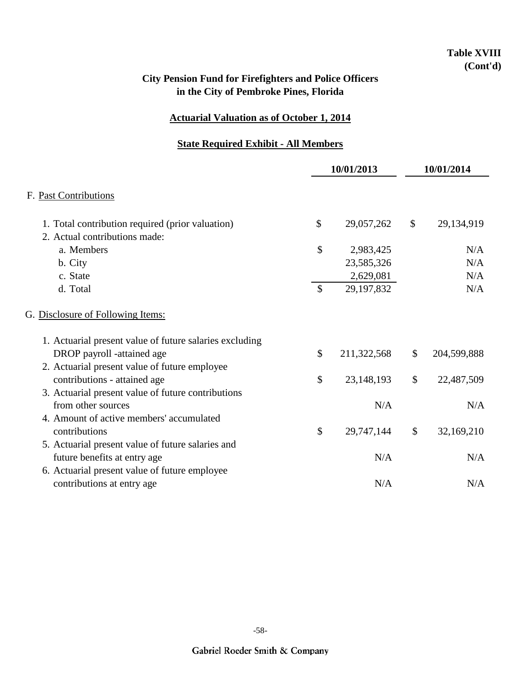## **Table XVIII (Cont'd)**

## **City Pension Fund for Firefighters and Police Officers in the City of Pembroke Pines, Florida**

### **Actuarial Valuation as of October 1, 2014**

## **State Required Exhibit - All Members**

|                                                         |                           | 10/01/2013   | 10/01/2014 |             |
|---------------------------------------------------------|---------------------------|--------------|------------|-------------|
| F. Past Contributions                                   |                           |              |            |             |
| 1. Total contribution required (prior valuation)        | \$                        | 29,057,262   | \$         | 29,134,919  |
| 2. Actual contributions made:                           |                           |              |            |             |
| a. Members                                              | $\mathcal{S}$             | 2,983,425    |            | N/A         |
| b. City                                                 |                           | 23,585,326   |            | N/A         |
| c. State                                                |                           | 2,629,081    |            | N/A         |
| d. Total                                                | \$                        | 29,197,832   |            | N/A         |
| G. Disclosure of Following Items:                       |                           |              |            |             |
| 1. Actuarial present value of future salaries excluding |                           |              |            |             |
| DROP payroll -attained age                              | \$                        | 211,322,568  | \$         | 204,599,888 |
| 2. Actuarial present value of future employee           |                           |              |            |             |
| contributions - attained age                            | $\boldsymbol{\mathsf{S}}$ | 23, 148, 193 | \$         | 22,487,509  |
| 3. Actuarial present value of future contributions      |                           |              |            |             |
| from other sources                                      |                           | N/A          |            | N/A         |
| 4. Amount of active members' accumulated                |                           |              |            |             |
| contributions                                           | $\mathcal{S}$             | 29,747,144   | \$         | 32,169,210  |
| 5. Actuarial present value of future salaries and       |                           |              |            |             |
| future benefits at entry age                            |                           | N/A          |            | N/A         |
|                                                         |                           |              |            |             |
| 6. Actuarial present value of future employee           |                           |              |            |             |
| contributions at entry age                              |                           | N/A          |            | N/A         |